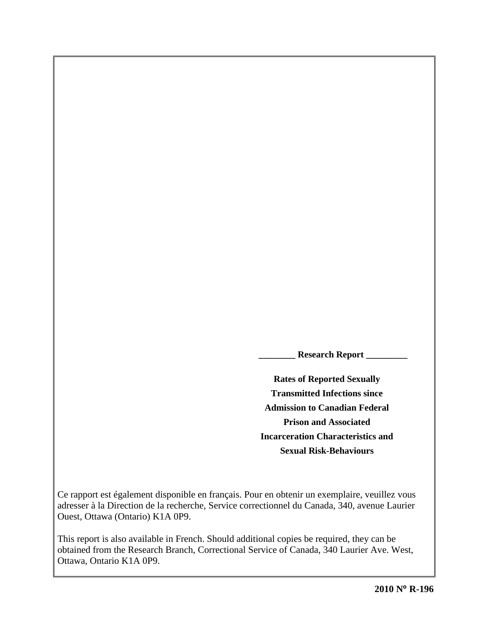**\_\_\_\_\_\_\_\_ Research Report \_\_\_\_\_\_\_\_\_** 

**Rates of Reported Sexually Transmitted Infections since Admission to Canadian Federal Prison and Associated Incarceration Characteristics and Sexual Risk-Behaviours**

Ce rapport est également disponible en français. Pour en obtenir un exemplaire, veuillez vous adresser à la Direction de la recherche, Service correctionnel du Canada, 340, avenue Laurier Ouest, Ottawa (Ontario) K1A 0P9.

This report is also available in French. Should additional copies be required, they can be obtained from the Research Branch, Correctional Service of Canada, 340 Laurier Ave. West, Ottawa, Ontario K1A 0P9.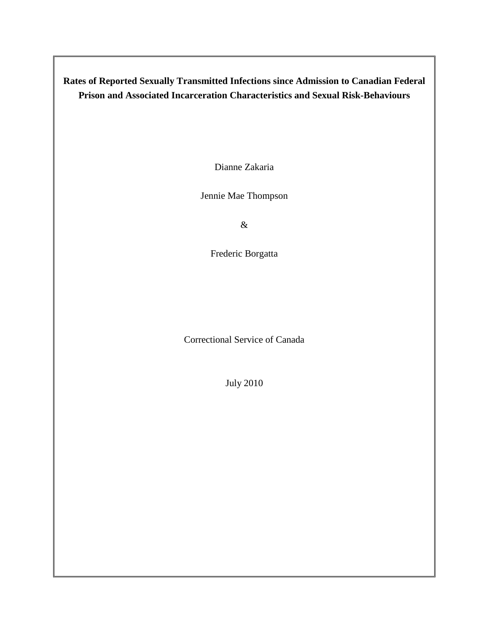**Rates of Reported Sexually Transmitted Infections since Admission to Canadian Federal Prison and Associated Incarceration Characteristics and Sexual Risk-Behaviours** 

Dianne Zakaria

Jennie Mae Thompson

&

Frederic Borgatta

Correctional Service of Canada

July 2010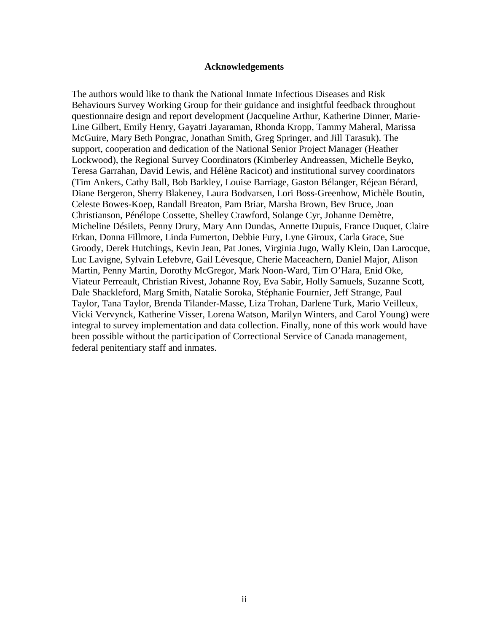#### **Acknowledgements**

<span id="page-4-0"></span>The authors would like to thank the National Inmate Infectious Diseases and Risk Behaviours Survey Working Group for their guidance and insightful feedback throughout questionnaire design and report development (Jacqueline Arthur, Katherine Dinner, Marie-Line Gilbert, Emily Henry, Gayatri Jayaraman, Rhonda Kropp, Tammy Maheral, Marissa McGuire, Mary Beth Pongrac, Jonathan Smith, Greg Springer, and Jill Tarasuk). The support, cooperation and dedication of the National Senior Project Manager (Heather Lockwood), the Regional Survey Coordinators (Kimberley Andreassen, Michelle Beyko, Teresa Garrahan, David Lewis, and Hélène Racicot) and institutional survey coordinators (Tim Ankers, Cathy Ball, Bob Barkley, Louise Barriage, Gaston Bélanger, Réjean Bérard, Diane Bergeron, Sherry Blakeney, Laura Bodvarsen, Lori Boss-Greenhow, Michèle Boutin, Celeste Bowes-Koep, Randall Breaton, Pam Briar, Marsha Brown, Bev Bruce, Joan Christianson, Pénélope Cossette, Shelley Crawford, Solange Cyr, Johanne Demètre, Micheline Désilets, Penny Drury, Mary Ann Dundas, Annette Dupuis, France Duquet, Claire Erkan, Donna Fillmore, Linda Fumerton, Debbie Fury, Lyne Giroux, Carla Grace, Sue Groody, Derek Hutchings, Kevin Jean, Pat Jones, Virginia Jugo, Wally Klein, Dan Larocque, Luc Lavigne, Sylvain Lefebvre, Gail Lévesque, Cherie Maceachern, Daniel Major, Alison Martin, Penny Martin, Dorothy McGregor, Mark Noon-Ward, Tim O'Hara, Enid Oke, Viateur Perreault, Christian Rivest, Johanne Roy, Eva Sabir, Holly Samuels, Suzanne Scott, Dale Shackleford, Marg Smith, Natalie Soroka, Stéphanie Fournier, Jeff Strange, Paul Taylor, Tana Taylor, Brenda Tilander-Masse, Liza Trohan, Darlene Turk, Mario Veilleux, Vicki Vervynck, Katherine Visser, Lorena Watson, Marilyn Winters, and Carol Young) were integral to survey implementation and data collection. Finally, none of this work would have been possible without the participation of Correctional Service of Canada management, federal penitentiary staff and inmates.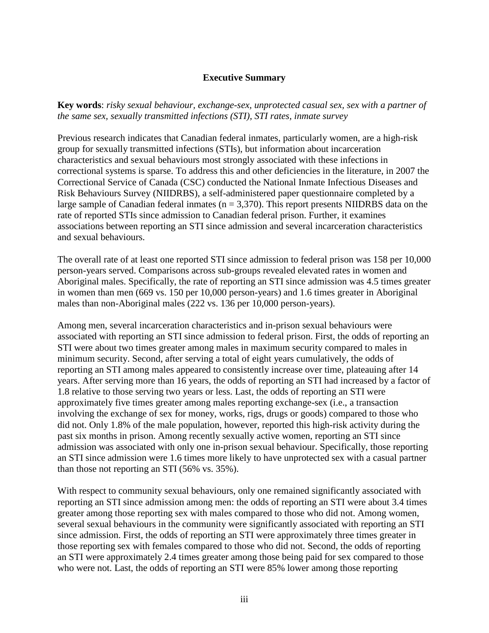### **Executive Summary**

<span id="page-6-0"></span>**Key words**: *risky sexual behaviour, exchange-sex, unprotected casual sex, sex with a partner of the same sex, sexually transmitted infections (STI), STI rates, inmate survey*

Previous research indicates that Canadian federal inmates, particularly women, are a high-risk group for sexually transmitted infections (STIs), but information about incarceration characteristics and sexual behaviours most strongly associated with these infections in correctional systems is sparse. To address this and other deficiencies in the literature, in 2007 the Correctional Service of Canada (CSC) conducted the National Inmate Infectious Diseases and Risk Behaviours Survey (NIIDRBS), a self-administered paper questionnaire completed by a large sample of Canadian federal inmates ( $n = 3,370$ ). This report presents NIIDRBS data on the rate of reported STIs since admission to Canadian federal prison. Further, it examines associations between reporting an STI since admission and several incarceration characteristics and sexual behaviours.

The overall rate of at least one reported STI since admission to federal prison was 158 per 10,000 person-years served. Comparisons across sub-groups revealed elevated rates in women and Aboriginal males. Specifically, the rate of reporting an STI since admission was 4.5 times greater in women than men (669 vs. 150 per 10,000 person-years) and 1.6 times greater in Aboriginal males than non-Aboriginal males (222 vs. 136 per 10,000 person-years).

Among men, several incarceration characteristics and in-prison sexual behaviours were associated with reporting an STI since admission to federal prison. First, the odds of reporting an STI were about two times greater among males in maximum security compared to males in minimum security. Second, after serving a total of eight years cumulatively, the odds of reporting an STI among males appeared to consistently increase over time, plateauing after 14 years. After serving more than 16 years, the odds of reporting an STI had increased by a factor of 1.8 relative to those serving two years or less. Last, the odds of reporting an STI were approximately five times greater among males reporting exchange-sex (i.e., a transaction involving the exchange of sex for money, works, rigs, drugs or goods) compared to those who did not. Only 1.8% of the male population, however, reported this high-risk activity during the past six months in prison. Among recently sexually active women, reporting an STI since admission was associated with only one in-prison sexual behaviour. Specifically, those reporting an STI since admission were 1.6 times more likely to have unprotected sex with a casual partner than those not reporting an STI (56% vs. 35%).

With respect to community sexual behaviours, only one remained significantly associated with reporting an STI since admission among men: the odds of reporting an STI were about 3.4 times greater among those reporting sex with males compared to those who did not. Among women, several sexual behaviours in the community were significantly associated with reporting an STI since admission. First, the odds of reporting an STI were approximately three times greater in those reporting sex with females compared to those who did not. Second, the odds of reporting an STI were approximately 2.4 times greater among those being paid for sex compared to those who were not. Last, the odds of reporting an STI were 85% lower among those reporting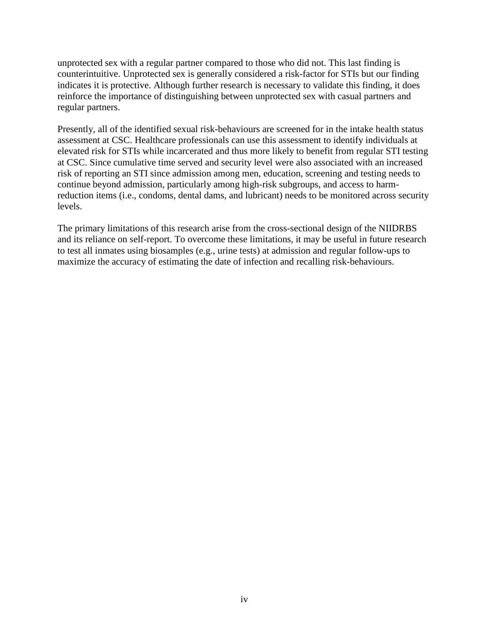unprotected sex with a regular partner compared to those who did not. This last finding is counterintuitive. Unprotected sex is generally considered a risk-factor for STIs but our finding indicates it is protective. Although further research is necessary to validate this finding, it does reinforce the importance of distinguishing between unprotected sex with casual partners and regular partners.

Presently, all of the identified sexual risk-behaviours are screened for in the intake health status assessment at CSC. Healthcare professionals can use this assessment to identify individuals at elevated risk for STIs while incarcerated and thus more likely to benefit from regular STI testing at CSC. Since cumulative time served and security level were also associated with an increased risk of reporting an STI since admission among men, education, screening and testing needs to continue beyond admission, particularly among high-risk subgroups, and access to harmreduction items (i.e., condoms, dental dams, and lubricant) needs to be monitored across security levels.

The primary limitations of this research arise from the cross-sectional design of the NIIDRBS and its reliance on self-report. To overcome these limitations, it may be useful in future research to test all inmates using biosamples (e.g., urine tests) at admission and regular follow-ups to maximize the accuracy of estimating the date of infection and recalling risk-behaviours.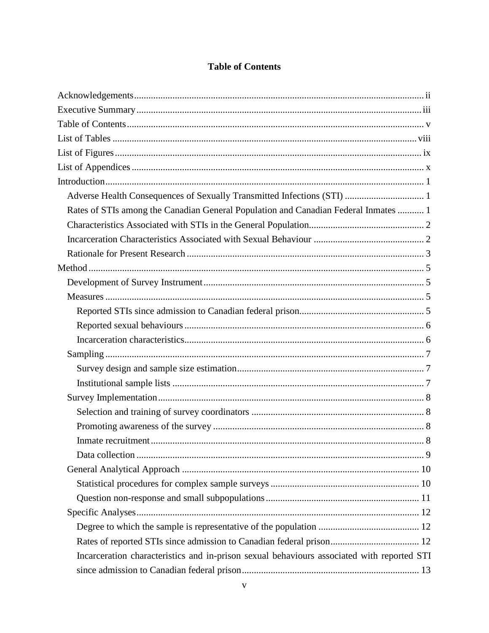## **Table of Contents**

<span id="page-9-0"></span>

| Adverse Health Consequences of Sexually Transmitted Infections (STI)  1                    |  |
|--------------------------------------------------------------------------------------------|--|
| Rates of STIs among the Canadian General Population and Canadian Federal Inmates  1        |  |
|                                                                                            |  |
|                                                                                            |  |
|                                                                                            |  |
|                                                                                            |  |
|                                                                                            |  |
|                                                                                            |  |
|                                                                                            |  |
|                                                                                            |  |
|                                                                                            |  |
|                                                                                            |  |
|                                                                                            |  |
|                                                                                            |  |
|                                                                                            |  |
|                                                                                            |  |
|                                                                                            |  |
|                                                                                            |  |
|                                                                                            |  |
|                                                                                            |  |
|                                                                                            |  |
|                                                                                            |  |
|                                                                                            |  |
|                                                                                            |  |
|                                                                                            |  |
| Incarceration characteristics and in-prison sexual behaviours associated with reported STI |  |
|                                                                                            |  |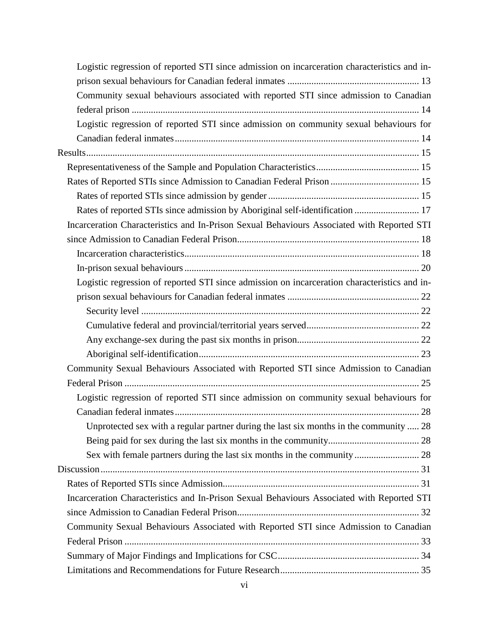| Logistic regression of reported STI since admission on incarceration characteristics and in- |
|----------------------------------------------------------------------------------------------|
|                                                                                              |
| Community sexual behaviours associated with reported STI since admission to Canadian         |
|                                                                                              |
| Logistic regression of reported STI since admission on community sexual behaviours for       |
|                                                                                              |
|                                                                                              |
|                                                                                              |
|                                                                                              |
|                                                                                              |
| Rates of reported STIs since admission by Aboriginal self-identification  17                 |
| Incarceration Characteristics and In-Prison Sexual Behaviours Associated with Reported STI   |
|                                                                                              |
|                                                                                              |
|                                                                                              |
| Logistic regression of reported STI since admission on incarceration characteristics and in- |
|                                                                                              |
|                                                                                              |
|                                                                                              |
|                                                                                              |
|                                                                                              |
| Community Sexual Behaviours Associated with Reported STI since Admission to Canadian         |
|                                                                                              |
| Logistic regression of reported STI since admission on community sexual behaviours for       |
|                                                                                              |
| Unprotected sex with a regular partner during the last six months in the community  28       |
|                                                                                              |
|                                                                                              |
|                                                                                              |
|                                                                                              |
| Incarceration Characteristics and In-Prison Sexual Behaviours Associated with Reported STI   |
|                                                                                              |
| Community Sexual Behaviours Associated with Reported STI since Admission to Canadian         |
|                                                                                              |
|                                                                                              |
|                                                                                              |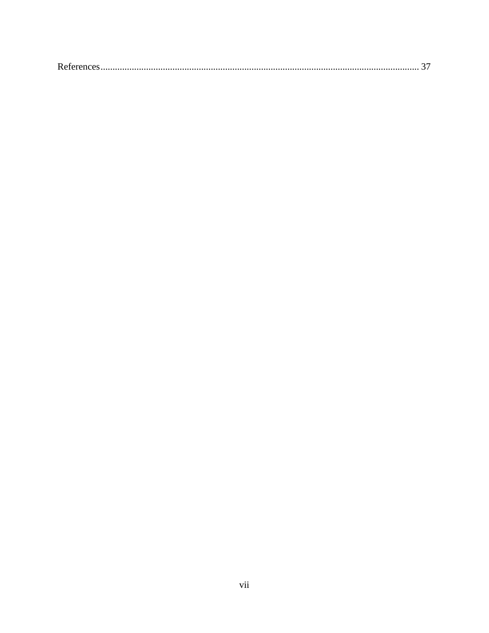|--|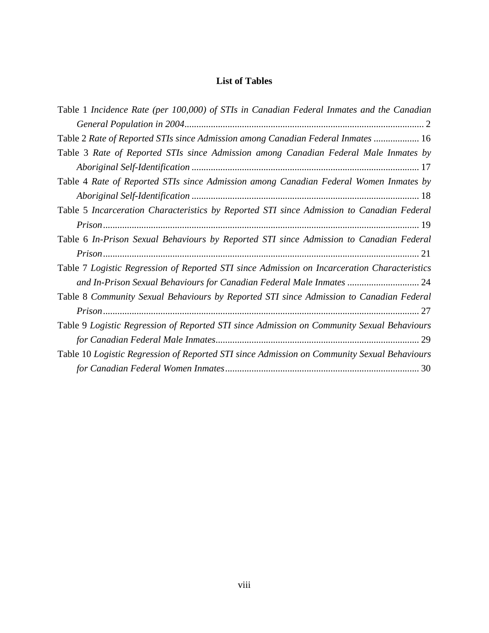## **List of Tables**

<span id="page-13-0"></span>

| Table 1 Incidence Rate (per 100,000) of STIs in Canadian Federal Inmates and the Canadian    |
|----------------------------------------------------------------------------------------------|
|                                                                                              |
| Table 2 Rate of Reported STIs since Admission among Canadian Federal Inmates  16             |
| Table 3 Rate of Reported STIs since Admission among Canadian Federal Male Inmates by         |
|                                                                                              |
| Table 4 Rate of Reported STIs since Admission among Canadian Federal Women Inmates by        |
|                                                                                              |
| Table 5 Incarceration Characteristics by Reported STI since Admission to Canadian Federal    |
|                                                                                              |
| Table 6 In-Prison Sexual Behaviours by Reported STI since Admission to Canadian Federal      |
|                                                                                              |
| Table 7 Logistic Regression of Reported STI since Admission on Incarceration Characteristics |
| and In-Prison Sexual Behaviours for Canadian Federal Male Inmates  24                        |
| Table 8 Community Sexual Behaviours by Reported STI since Admission to Canadian Federal      |
|                                                                                              |
| Table 9 Logistic Regression of Reported STI since Admission on Community Sexual Behaviours   |
|                                                                                              |
| Table 10 Logistic Regression of Reported STI since Admission on Community Sexual Behaviours  |
|                                                                                              |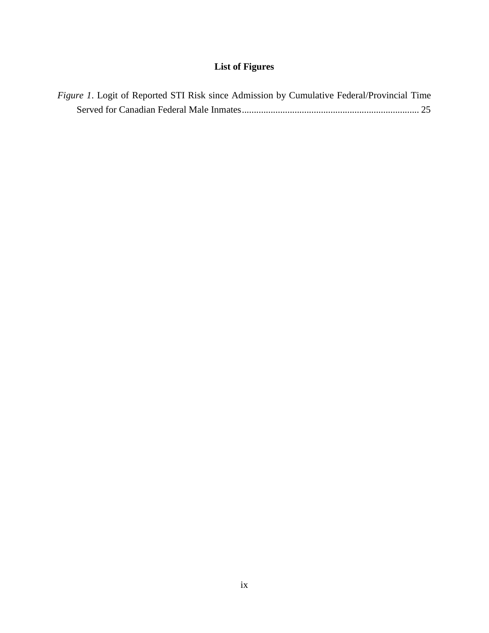# **List of Figures**

<span id="page-15-0"></span>

| <i>Figure 1.</i> Logit of Reported STI Risk since Admission by Cumulative Federal/Provincial Time |  |  |
|---------------------------------------------------------------------------------------------------|--|--|
|                                                                                                   |  |  |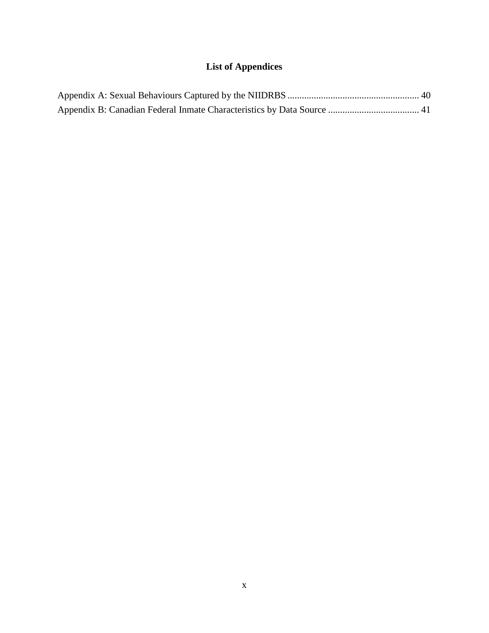# **List of Appendices**

<span id="page-17-0"></span>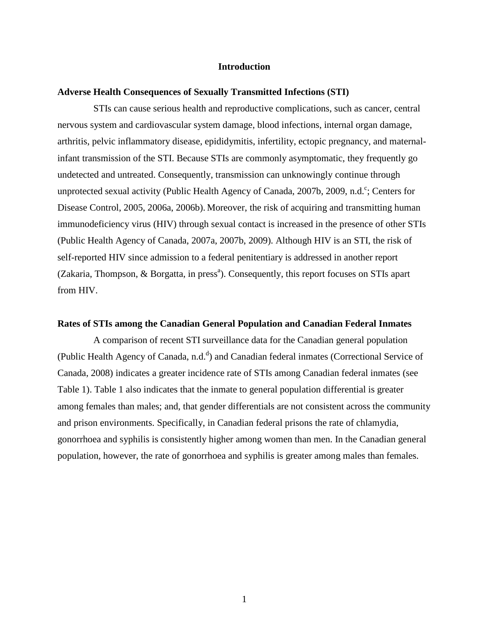#### **Introduction**

### <span id="page-19-1"></span><span id="page-19-0"></span>**Adverse Health Consequences of Sexually Transmitted Infections (STI)**

STIs can cause serious health and reproductive complications, such as cancer, central nervous system and cardiovascular system damage, blood infections, internal organ damage, arthritis, pelvic inflammatory disease, epididymitis, infertility, ectopic pregnancy, and maternalinfant transmission of the STI. Because STIs are commonly asymptomatic, they frequently go undetected and untreated. Consequently, transmission can unknowingly continue through unprotected sexual activity (Public Health Agency of Canada, 2007b, 2009, n.d.<sup>c</sup>; Centers for Disease Control, 2005, 2006a, 2006b). Moreover, the risk of acquiring and transmitting human immunodeficiency virus (HIV) through sexual contact is increased in the presence of other STIs (Public Health Agency of Canada, 2007a, 2007b, 2009). Although HIV is an STI, the risk of self-reported HIV since admission to a federal penitentiary is addressed in another report (Zakaria, Thompson, & Borgatta, in press<sup>a</sup>). Consequently, this report focuses on STIs apart from HIV.

#### <span id="page-19-2"></span>**Rates of STIs among the Canadian General Population and Canadian Federal Inmates**

A comparison of recent STI surveillance data for the Canadian general population (Public Health Agency of Canada, n.d.<sup>d</sup>) and Canadian federal inmates (Correctional Service of Canada, 2008) indicates a greater incidence rate of STIs among Canadian federal inmates (see Table 1). Table 1 also indicates that the inmate to general population differential is greater among females than males; and, that gender differentials are not consistent across the community and prison environments. Specifically, in Canadian federal prisons the rate of chlamydia, gonorrhoea and syphilis is consistently higher among women than men. In the Canadian general population, however, the rate of gonorrhoea and syphilis is greater among males than females.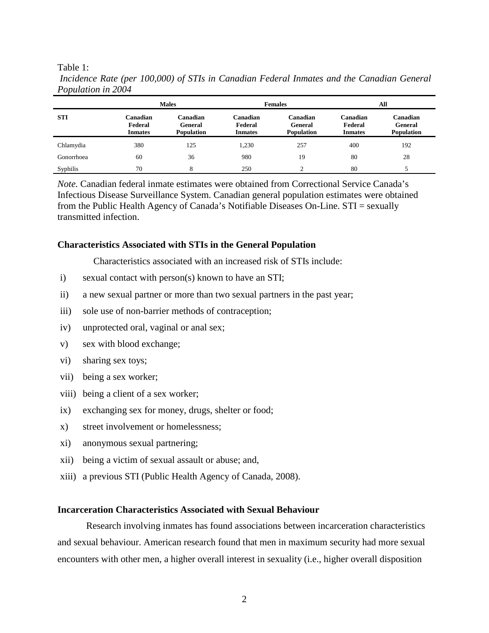Table 1:

|            |                                       | <b>Males</b>                             |                                       | <b>Females</b>                           |                                       | All                               |  |  |  |
|------------|---------------------------------------|------------------------------------------|---------------------------------------|------------------------------------------|---------------------------------------|-----------------------------------|--|--|--|
| <b>STI</b> | Canadian<br>Federal<br><b>Inmates</b> | Canadian<br>General<br><b>Population</b> | Canadian<br>Federal<br><b>Inmates</b> | Canadian<br>General<br><b>Population</b> | Canadian<br>Federal<br><b>Inmates</b> | Canadian<br>General<br>Population |  |  |  |
| Chlamydia  | 380                                   | 125                                      | 1,230                                 | 257                                      | 400                                   | 192                               |  |  |  |
| Gonorrhoea | 60                                    | 36                                       | 980                                   | 19                                       | 80                                    | 28                                |  |  |  |
| Syphilis   | 70                                    | 8                                        | 250                                   | ◠                                        | 80                                    |                                   |  |  |  |

<span id="page-20-2"></span>*Incidence Rate (per 100,000) of STIs in Canadian Federal Inmates and the Canadian General Population in 2004*

*Note.* Canadian federal inmate estimates were obtained from Correctional Service Canada's Infectious Disease Surveillance System. Canadian general population estimates were obtained from the Public Health Agency of Canada's Notifiable Diseases On-Line. STI = sexually transmitted infection.

#### <span id="page-20-0"></span>**Characteristics Associated with STIs in the General Population**

Characteristics associated with an increased risk of STIs include:

- i) sexual contact with person(s) known to have an STI;
- ii) a new sexual partner or more than two sexual partners in the past year;
- iii) sole use of non-barrier methods of contraception;
- iv) unprotected oral, vaginal or anal sex;
- v) sex with blood exchange;
- vi) sharing sex toys;
- vii) being a sex worker;
- viii) being a client of a sex worker;
- ix) exchanging sex for money, drugs, shelter or food;
- x) street involvement or homelessness;
- xi) anonymous sexual partnering;
- xii) being a victim of sexual assault or abuse; and,
- xiii) a previous STI (Public Health Agency of Canada, 2008).

#### <span id="page-20-1"></span>**Incarceration Characteristics Associated with Sexual Behaviour**

Research involving inmates has found associations between incarceration characteristics and sexual behaviour. American research found that men in maximum security had more sexual encounters with other men, a higher overall interest in sexuality (i.e., higher overall disposition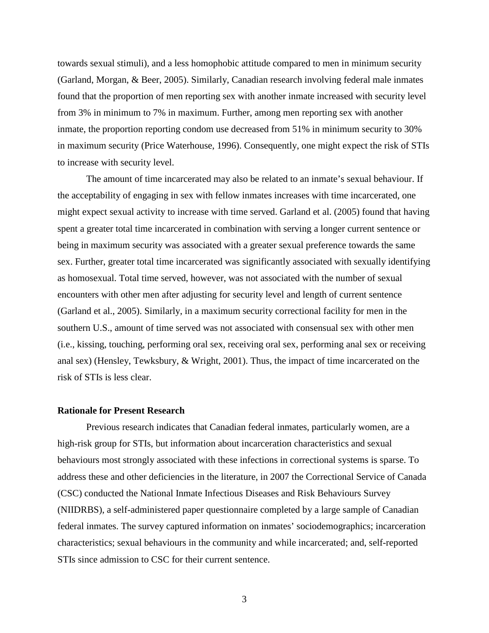towards sexual stimuli), and a less homophobic attitude compared to men in minimum security (Garland, Morgan, & Beer, 2005). Similarly, Canadian research involving federal male inmates found that the proportion of men reporting sex with another inmate increased with security level from 3% in minimum to 7% in maximum. Further, among men reporting sex with another inmate, the proportion reporting condom use decreased from 51% in minimum security to 30% in maximum security (Price Waterhouse, 1996). Consequently, one might expect the risk of STIs to increase with security level.

The amount of time incarcerated may also be related to an inmate's sexual behaviour. If the acceptability of engaging in sex with fellow inmates increases with time incarcerated, one might expect sexual activity to increase with time served. Garland et al. (2005) found that having spent a greater total time incarcerated in combination with serving a longer current sentence or being in maximum security was associated with a greater sexual preference towards the same sex. Further, greater total time incarcerated was significantly associated with sexually identifying as homosexual. Total time served, however, was not associated with the number of sexual encounters with other men after adjusting for security level and length of current sentence (Garland et al., 2005). Similarly, in a maximum security correctional facility for men in the southern U.S., amount of time served was not associated with consensual sex with other men (i.e., kissing, touching, performing oral sex, receiving oral sex, performing anal sex or receiving anal sex) (Hensley, Tewksbury, & Wright, 2001). Thus, the impact of time incarcerated on the risk of STIs is less clear.

### <span id="page-21-0"></span>**Rationale for Present Research**

Previous research indicates that Canadian federal inmates, particularly women, are a high-risk group for STIs, but information about incarceration characteristics and sexual behaviours most strongly associated with these infections in correctional systems is sparse. To address these and other deficiencies in the literature, in 2007 the Correctional Service of Canada (CSC) conducted the National Inmate Infectious Diseases and Risk Behaviours Survey (NIIDRBS), a self-administered paper questionnaire completed by a large sample of Canadian federal inmates. The survey captured information on inmates' sociodemographics; incarceration characteristics; sexual behaviours in the community and while incarcerated; and, self-reported STIs since admission to CSC for their current sentence.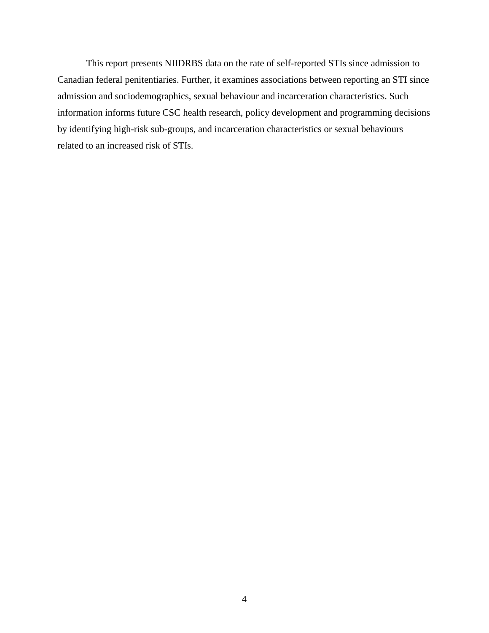This report presents NIIDRBS data on the rate of self-reported STIs since admission to Canadian federal penitentiaries. Further, it examines associations between reporting an STI since admission and sociodemographics, sexual behaviour and incarceration characteristics. Such information informs future CSC health research, policy development and programming decisions by identifying high-risk sub-groups, and incarceration characteristics or sexual behaviours related to an increased risk of STIs.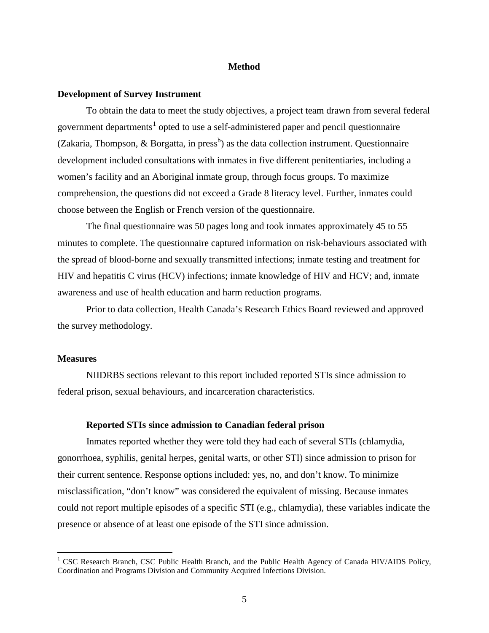#### **Method**

#### <span id="page-23-1"></span><span id="page-23-0"></span>**Development of Survey Instrument**

To obtain the data to meet the study objectives, a project team drawn from several federal government departments<sup>[1](#page-23-4)</sup> opted to use a self-administered paper and pencil questionnaire (Zakaria, Thompson, & Borgatta, in press<sup>b</sup>) as the data collection instrument. Questionnaire development included consultations with inmates in five different penitentiaries, including a women's facility and an Aboriginal inmate group, through focus groups. To maximize comprehension, the questions did not exceed a Grade 8 literacy level. Further, inmates could choose between the English or French version of the questionnaire.

The final questionnaire was 50 pages long and took inmates approximately 45 to 55 minutes to complete. The questionnaire captured information on risk-behaviours associated with the spread of blood-borne and sexually transmitted infections; inmate testing and treatment for HIV and hepatitis C virus (HCV) infections; inmate knowledge of HIV and HCV; and, inmate awareness and use of health education and harm reduction programs.

Prior to data collection, Health Canada's Research Ethics Board reviewed and approved the survey methodology.

#### <span id="page-23-2"></span>**Measures**

NIIDRBS sections relevant to this report included reported STIs since admission to federal prison, sexual behaviours, and incarceration characteristics.

#### **Reported STIs since admission to Canadian federal prison**

<span id="page-23-3"></span>Inmates reported whether they were told they had each of several STIs (chlamydia, gonorrhoea, syphilis, genital herpes, genital warts, or other STI) since admission to prison for their current sentence. Response options included: yes, no, and don't know. To minimize misclassification, "don't know" was considered the equivalent of missing. Because inmates could not report multiple episodes of a specific STI (e.g., chlamydia), these variables indicate the presence or absence of at least one episode of the STI since admission.

<span id="page-23-4"></span><sup>&</sup>lt;sup>1</sup> CSC Research Branch, CSC Public Health Branch, and the Public Health Agency of Canada HIV/AIDS Policy, Coordination and Programs Division and Community Acquired Infections Division.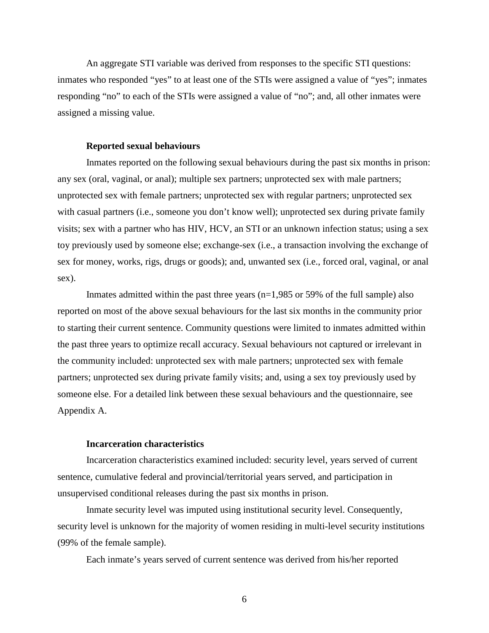An aggregate STI variable was derived from responses to the specific STI questions: inmates who responded "yes" to at least one of the STIs were assigned a value of "yes"; inmates responding "no" to each of the STIs were assigned a value of "no"; and, all other inmates were assigned a missing value.

#### **Reported sexual behaviours**

<span id="page-24-0"></span>Inmates reported on the following sexual behaviours during the past six months in prison: any sex (oral, vaginal, or anal); multiple sex partners; unprotected sex with male partners; unprotected sex with female partners; unprotected sex with regular partners; unprotected sex with casual partners (i.e., someone you don't know well); unprotected sex during private family visits; sex with a partner who has HIV, HCV, an STI or an unknown infection status; using a sex toy previously used by someone else; exchange-sex (i.e., a transaction involving the exchange of sex for money, works, rigs, drugs or goods); and, unwanted sex (i.e., forced oral, vaginal, or anal sex).

Inmates admitted within the past three years  $(n=1,985 \text{ or } 59\% \text{ of the full sample})$  also reported on most of the above sexual behaviours for the last six months in the community prior to starting their current sentence. Community questions were limited to inmates admitted within the past three years to optimize recall accuracy. Sexual behaviours not captured or irrelevant in the community included: unprotected sex with male partners; unprotected sex with female partners; unprotected sex during private family visits; and, using a sex toy previously used by someone else. For a detailed link between these sexual behaviours and the questionnaire, see Appendix A.

### **Incarceration characteristics**

<span id="page-24-1"></span>Incarceration characteristics examined included: security level, years served of current sentence, cumulative federal and provincial/territorial years served, and participation in unsupervised conditional releases during the past six months in prison.

Inmate security level was imputed using institutional security level. Consequently, security level is unknown for the majority of women residing in multi-level security institutions (99% of the female sample).

Each inmate's years served of current sentence was derived from his/her reported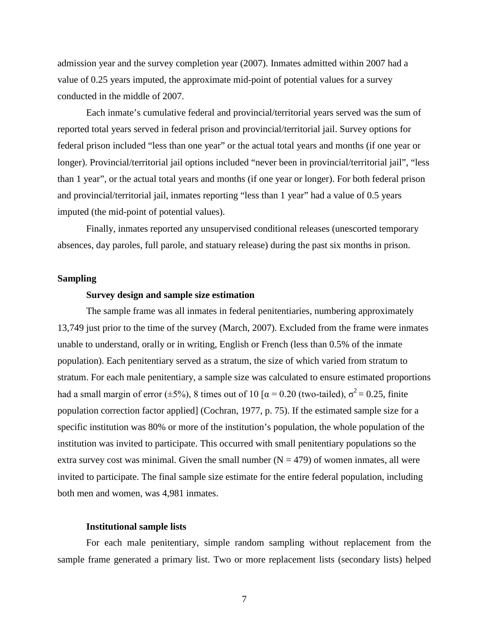admission year and the survey completion year (2007). Inmates admitted within 2007 had a value of 0.25 years imputed, the approximate mid-point of potential values for a survey conducted in the middle of 2007.

Each inmate's cumulative federal and provincial/territorial years served was the sum of reported total years served in federal prison and provincial/territorial jail. Survey options for federal prison included "less than one year" or the actual total years and months (if one year or longer). Provincial/territorial jail options included "never been in provincial/territorial jail", "less than 1 year", or the actual total years and months (if one year or longer). For both federal prison and provincial/territorial jail, inmates reporting "less than 1 year" had a value of 0.5 years imputed (the mid-point of potential values).

Finally, inmates reported any unsupervised conditional releases (unescorted temporary absences, day paroles, full parole, and statuary release) during the past six months in prison.

#### <span id="page-25-1"></span><span id="page-25-0"></span>**Sampling**

#### **Survey design and sample size estimation**

The sample frame was all inmates in federal penitentiaries, numbering approximately 13,749 just prior to the time of the survey (March, 2007). Excluded from the frame were inmates unable to understand, orally or in writing, English or French (less than 0.5% of the inmate population). Each penitentiary served as a stratum, the size of which varied from stratum to stratum. For each male penitentiary, a sample size was calculated to ensure estimated proportions had a small margin of error ( $\pm$ 5%), 8 times out of 10 [ $\alpha$  = 0.20 (two-tailed),  $\sigma$ <sup>2</sup> = 0.25, finite population correction factor applied] (Cochran, 1977, p. 75). If the estimated sample size for a specific institution was 80% or more of the institution's population, the whole population of the institution was invited to participate. This occurred with small penitentiary populations so the extra survey cost was minimal. Given the small number  $(N = 479)$  of women inmates, all were invited to participate. The final sample size estimate for the entire federal population, including both men and women, was 4,981 inmates.

#### **Institutional sample lists**

<span id="page-25-2"></span>For each male penitentiary, simple random sampling without replacement from the sample frame generated a primary list. Two or more replacement lists (secondary lists) helped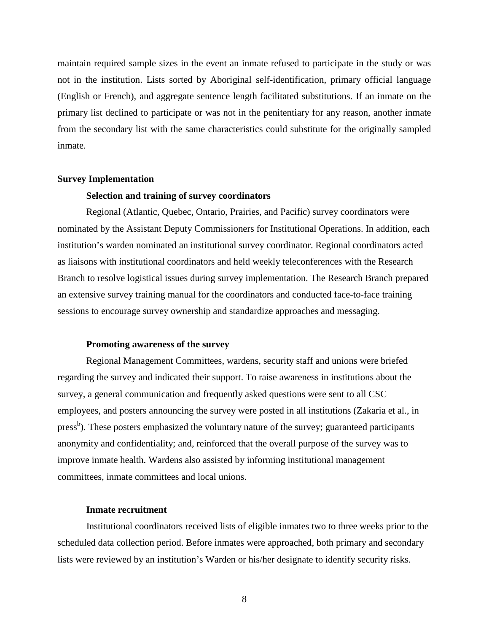maintain required sample sizes in the event an inmate refused to participate in the study or was not in the institution. Lists sorted by Aboriginal self-identification, primary official language (English or French), and aggregate sentence length facilitated substitutions. If an inmate on the primary list declined to participate or was not in the penitentiary for any reason, another inmate from the secondary list with the same characteristics could substitute for the originally sampled inmate.

#### <span id="page-26-1"></span><span id="page-26-0"></span>**Survey Implementation**

#### **Selection and training of survey coordinators**

Regional (Atlantic, Quebec, Ontario, Prairies, and Pacific) survey coordinators were nominated by the Assistant Deputy Commissioners for Institutional Operations. In addition, each institution's warden nominated an institutional survey coordinator. Regional coordinators acted as liaisons with institutional coordinators and held weekly teleconferences with the Research Branch to resolve logistical issues during survey implementation. The Research Branch prepared an extensive survey training manual for the coordinators and conducted face-to-face training sessions to encourage survey ownership and standardize approaches and messaging.

#### **Promoting awareness of the survey**

<span id="page-26-2"></span>Regional Management Committees, wardens, security staff and unions were briefed regarding the survey and indicated their support. To raise awareness in institutions about the survey, a general communication and frequently asked questions were sent to all CSC employees, and posters announcing the survey were posted in all institutions (Zakaria et al., in press<sup>b</sup>). These posters emphasized the voluntary nature of the survey; guaranteed participants anonymity and confidentiality; and, reinforced that the overall purpose of the survey was to improve inmate health. Wardens also assisted by informing institutional management committees, inmate committees and local unions.

### **Inmate recruitment**

<span id="page-26-3"></span>Institutional coordinators received lists of eligible inmates two to three weeks prior to the scheduled data collection period. Before inmates were approached, both primary and secondary lists were reviewed by an institution's Warden or his/her designate to identify security risks.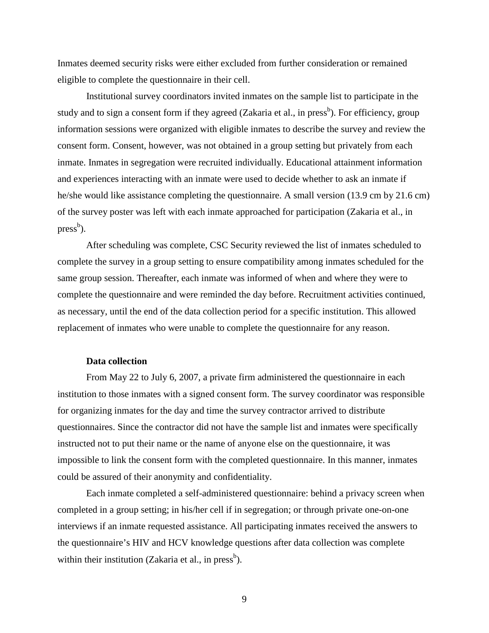Inmates deemed security risks were either excluded from further consideration or remained eligible to complete the questionnaire in their cell.

Institutional survey coordinators invited inmates on the sample list to participate in the study and to sign a consent form if they agreed (Zakaria et al., in press<sup>b</sup>). For efficiency, group information sessions were organized with eligible inmates to describe the survey and review the consent form. Consent, however, was not obtained in a group setting but privately from each inmate. Inmates in segregation were recruited individually. Educational attainment information and experiences interacting with an inmate were used to decide whether to ask an inmate if he/she would like assistance completing the questionnaire. A small version (13.9 cm by 21.6 cm) of the survey poster was left with each inmate approached for participation (Zakaria et al., in press<sup>b</sup>).

After scheduling was complete, CSC Security reviewed the list of inmates scheduled to complete the survey in a group setting to ensure compatibility among inmates scheduled for the same group session. Thereafter, each inmate was informed of when and where they were to complete the questionnaire and were reminded the day before. Recruitment activities continued, as necessary, until the end of the data collection period for a specific institution. This allowed replacement of inmates who were unable to complete the questionnaire for any reason.

### **Data collection**

<span id="page-27-0"></span>From May 22 to July 6, 2007, a private firm administered the questionnaire in each institution to those inmates with a signed consent form. The survey coordinator was responsible for organizing inmates for the day and time the survey contractor arrived to distribute questionnaires. Since the contractor did not have the sample list and inmates were specifically instructed not to put their name or the name of anyone else on the questionnaire, it was impossible to link the consent form with the completed questionnaire. In this manner, inmates could be assured of their anonymity and confidentiality.

Each inmate completed a self-administered questionnaire: behind a privacy screen when completed in a group setting; in his/her cell if in segregation; or through private one-on-one interviews if an inmate requested assistance. All participating inmates received the answers to the questionnaire's HIV and HCV knowledge questions after data collection was complete within their institution (Zakaria et al., in press<sup>b</sup>).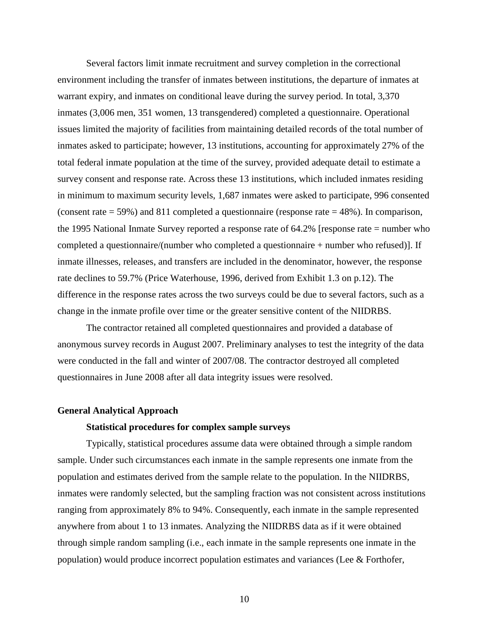Several factors limit inmate recruitment and survey completion in the correctional environment including the transfer of inmates between institutions, the departure of inmates at warrant expiry, and inmates on conditional leave during the survey period. In total, 3,370 inmates (3,006 men, 351 women, 13 transgendered) completed a questionnaire. Operational issues limited the majority of facilities from maintaining detailed records of the total number of inmates asked to participate; however, 13 institutions, accounting for approximately 27% of the total federal inmate population at the time of the survey, provided adequate detail to estimate a survey consent and response rate. Across these 13 institutions, which included inmates residing in minimum to maximum security levels, 1,687 inmates were asked to participate, 996 consented (consent rate = 59%) and 811 completed a questionnaire (response rate = 48%). In comparison, the 1995 National Inmate Survey reported a response rate of 64.2% [response rate = number who completed a questionnaire/(number who completed a questionnaire + number who refused)]. If inmate illnesses, releases, and transfers are included in the denominator, however, the response rate declines to 59.7% (Price Waterhouse, 1996, derived from Exhibit 1.3 on p.12). The difference in the response rates across the two surveys could be due to several factors, such as a change in the inmate profile over time or the greater sensitive content of the NIIDRBS.

The contractor retained all completed questionnaires and provided a database of anonymous survey records in August 2007. Preliminary analyses to test the integrity of the data were conducted in the fall and winter of 2007/08. The contractor destroyed all completed questionnaires in June 2008 after all data integrity issues were resolved.

#### <span id="page-28-1"></span><span id="page-28-0"></span>**General Analytical Approach**

#### **Statistical procedures for complex sample surveys**

Typically, statistical procedures assume data were obtained through a simple random sample. Under such circumstances each inmate in the sample represents one inmate from the population and estimates derived from the sample relate to the population. In the NIIDRBS, inmates were randomly selected, but the sampling fraction was not consistent across institutions ranging from approximately 8% to 94%. Consequently, each inmate in the sample represented anywhere from about 1 to 13 inmates. Analyzing the NIIDRBS data as if it were obtained through simple random sampling (i.e., each inmate in the sample represents one inmate in the population) would produce incorrect population estimates and variances (Lee & Forthofer,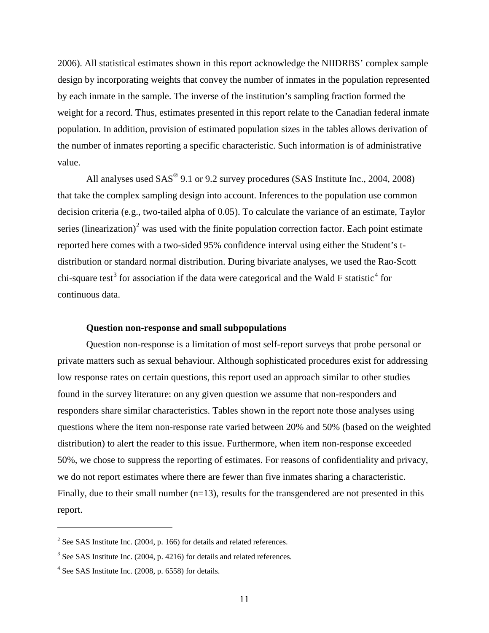2006). All statistical estimates shown in this report acknowledge the NIIDRBS' complex sample design by incorporating weights that convey the number of inmates in the population represented by each inmate in the sample. The inverse of the institution's sampling fraction formed the weight for a record. Thus, estimates presented in this report relate to the Canadian federal inmate population. In addition, provision of estimated population sizes in the tables allows derivation of the number of inmates reporting a specific characteristic. Such information is of administrative value.

All analyses used  $SAS^{\textcircled{0}}$  9.1 or 9.2 survey procedures (SAS Institute Inc., 2004, 2008) that take the complex sampling design into account. Inferences to the population use common decision criteria (e.g., two-tailed alpha of 0.05). To calculate the variance of an estimate, Taylor series (linearization)<sup>[2](#page-29-1)</sup> was used with the finite population correction factor. Each point estimate reported here comes with a two-sided 95% confidence interval using either the Student's tdistribution or standard normal distribution. During bivariate analyses, we used the Rao-Scott chi-square test<sup>[3](#page-29-2)</sup> for association if the data were categorical and the Wald F statistic<sup>[4](#page-29-3)</sup> for continuous data.

#### **Question non-response and small subpopulations**

<span id="page-29-0"></span>Question non-response is a limitation of most self-report surveys that probe personal or private matters such as sexual behaviour. Although sophisticated procedures exist for addressing low response rates on certain questions, this report used an approach similar to other studies found in the survey literature: on any given question we assume that non-responders and responders share similar characteristics. Tables shown in the report note those analyses using questions where the item non-response rate varied between 20% and 50% (based on the weighted distribution) to alert the reader to this issue. Furthermore, when item non-response exceeded 50%, we chose to suppress the reporting of estimates. For reasons of confidentiality and privacy, we do not report estimates where there are fewer than five inmates sharing a characteristic. Finally, due to their small number  $(n=13)$ , results for the transgendered are not presented in this report.

 $\overline{a}$ 

<span id="page-29-1"></span> $2$  See SAS Institute Inc. (2004, p. 166) for details and related references.

<span id="page-29-2"></span><sup>&</sup>lt;sup>3</sup> See SAS Institute Inc. (2004, p. 4216) for details and related references.

<span id="page-29-3"></span><sup>4</sup> See SAS Institute Inc. (2008, p. 6558) for details.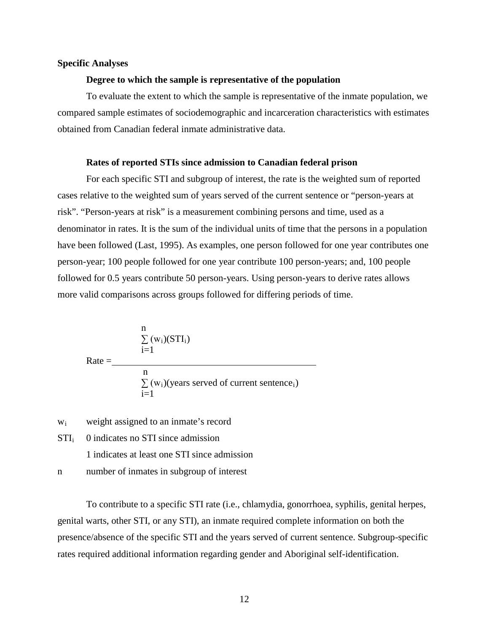#### <span id="page-30-1"></span><span id="page-30-0"></span>**Specific Analyses**

#### **Degree to which the sample is representative of the population**

To evaluate the extent to which the sample is representative of the inmate population, we compared sample estimates of sociodemographic and incarceration characteristics with estimates obtained from Canadian federal inmate administrative data.

#### **Rates of reported STIs since admission to Canadian federal prison**

<span id="page-30-2"></span>For each specific STI and subgroup of interest, the rate is the weighted sum of reported cases relative to the weighted sum of years served of the current sentence or "person-years at risk". "Person-years at risk" is a measurement combining persons and time, used as a denominator in rates. It is the sum of the individual units of time that the persons in a population have been followed (Last, 1995). As examples, one person followed for one year contributes one person-year; 100 people followed for one year contribute 100 person-years; and, 100 people followed for 0.5 years contribute 50 person-years. Using person-years to derive rates allows more valid comparisons across groups followed for differing periods of time.

$$
\frac{n}{\sum_{i=1}^{n} (w_i)(STI_i)}
$$
  
Rate = 
$$
\frac{n}{\sum_{i=1}^{n} (w_i)(years~served~of~current~sentence_i)}
$$

- wi weight assigned to an inmate's record
- $STI_i$ 0 indicates no STI since admission
	- 1 indicates at least one STI since admission
- n number of inmates in subgroup of interest

To contribute to a specific STI rate (i.e., chlamydia, gonorrhoea, syphilis, genital herpes, genital warts, other STI, or any STI), an inmate required complete information on both the presence/absence of the specific STI and the years served of current sentence. Subgroup-specific rates required additional information regarding gender and Aboriginal self-identification.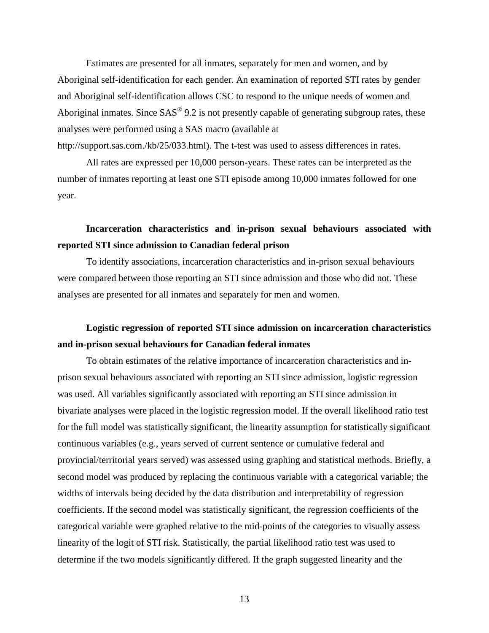Estimates are presented for all inmates, separately for men and women, and by Aboriginal self-identification for each gender. An examination of reported STI rates by gender and Aboriginal self-identification allows CSC to respond to the unique needs of women and Aboriginal inmates. Since  $SAS^{\circledast}$  9.2 is not presently capable of generating subgroup rates, these analyses were performed using a SAS macro (available at

http://support.sas.com./kb/25/033.html). The t-test was used to assess differences in rates.

All rates are expressed per 10,000 person-years. These rates can be interpreted as the number of inmates reporting at least one STI episode among 10,000 inmates followed for one year.

# <span id="page-31-0"></span>**Incarceration characteristics and in-prison sexual behaviours associated with reported STI since admission to Canadian federal prison**

To identify associations, incarceration characteristics and in-prison sexual behaviours were compared between those reporting an STI since admission and those who did not. These analyses are presented for all inmates and separately for men and women.

# <span id="page-31-1"></span>**Logistic regression of reported STI since admission on incarceration characteristics and in-prison sexual behaviours for Canadian federal inmates**

To obtain estimates of the relative importance of incarceration characteristics and inprison sexual behaviours associated with reporting an STI since admission, logistic regression was used. All variables significantly associated with reporting an STI since admission in bivariate analyses were placed in the logistic regression model. If the overall likelihood ratio test for the full model was statistically significant, the linearity assumption for statistically significant continuous variables (e.g., years served of current sentence or cumulative federal and provincial/territorial years served) was assessed using graphing and statistical methods. Briefly, a second model was produced by replacing the continuous variable with a categorical variable; the widths of intervals being decided by the data distribution and interpretability of regression coefficients. If the second model was statistically significant, the regression coefficients of the categorical variable were graphed relative to the mid-points of the categories to visually assess linearity of the logit of STI risk. Statistically, the partial likelihood ratio test was used to determine if the two models significantly differed. If the graph suggested linearity and the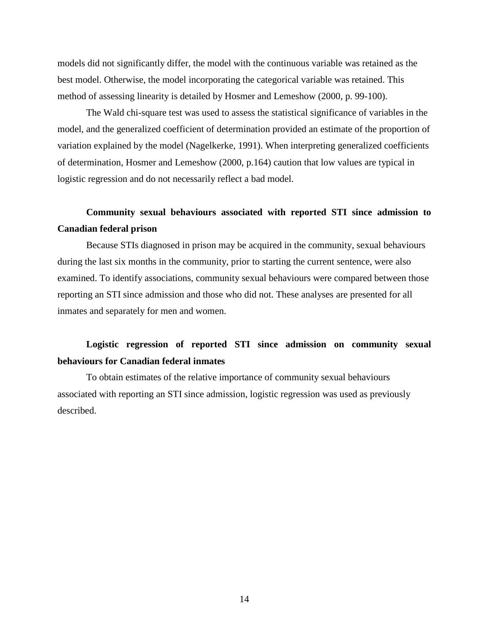models did not significantly differ, the model with the continuous variable was retained as the best model. Otherwise, the model incorporating the categorical variable was retained. This method of assessing linearity is detailed by Hosmer and Lemeshow (2000, p. 99-100).

The Wald chi-square test was used to assess the statistical significance of variables in the model, and the generalized coefficient of determination provided an estimate of the proportion of variation explained by the model (Nagelkerke, 1991). When interpreting generalized coefficients of determination, Hosmer and Lemeshow (2000, p.164) caution that low values are typical in logistic regression and do not necessarily reflect a bad model.

# <span id="page-32-0"></span>**Community sexual behaviours associated with reported STI since admission to Canadian federal prison**

Because STIs diagnosed in prison may be acquired in the community, sexual behaviours during the last six months in the community, prior to starting the current sentence, were also examined. To identify associations, community sexual behaviours were compared between those reporting an STI since admission and those who did not. These analyses are presented for all inmates and separately for men and women.

# <span id="page-32-1"></span>**Logistic regression of reported STI since admission on community sexual behaviours for Canadian federal inmates**

To obtain estimates of the relative importance of community sexual behaviours associated with reporting an STI since admission, logistic regression was used as previously described.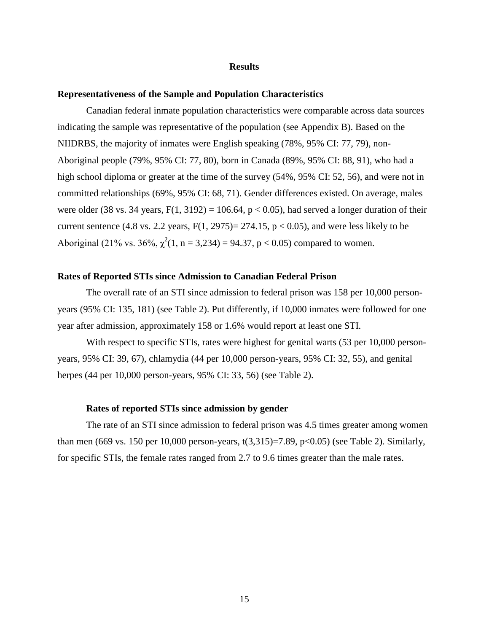#### **Results**

#### <span id="page-33-1"></span><span id="page-33-0"></span>**Representativeness of the Sample and Population Characteristics**

Canadian federal inmate population characteristics were comparable across data sources indicating the sample was representative of the population (see Appendix B). Based on the NIIDRBS, the majority of inmates were English speaking (78%, 95% CI: 77, 79), non-Aboriginal people (79%, 95% CI: 77, 80), born in Canada (89%, 95% CI: 88, 91), who had a high school diploma or greater at the time of the survey (54%, 95% CI: 52, 56), and were not in committed relationships (69%, 95% CI: 68, 71). Gender differences existed. On average, males were older (38 vs. 34 years,  $F(1, 3192) = 106.64$ ,  $p < 0.05$ ), had served a longer duration of their current sentence (4.8 vs. 2.2 years,  $F(1, 2975) = 274.15$ ,  $p < 0.05$ ), and were less likely to be Aboriginal (21% vs. 36%,  $\chi^2(1, n = 3,234) = 94.37$ , p < 0.05) compared to women.

#### <span id="page-33-2"></span>**Rates of Reported STIs since Admission to Canadian Federal Prison**

The overall rate of an STI since admission to federal prison was 158 per 10,000 personyears (95% CI: 135, 181) (see Table 2). Put differently, if 10,000 inmates were followed for one year after admission, approximately 158 or 1.6% would report at least one STI.

With respect to specific STIs, rates were highest for genital warts (53 per 10,000 personyears, 95% CI: 39, 67), chlamydia (44 per 10,000 person-years, 95% CI: 32, 55), and genital herpes (44 per 10,000 person-years, 95% CI: 33, 56) (see Table 2).

#### **Rates of reported STIs since admission by gender**

<span id="page-33-3"></span>The rate of an STI since admission to federal prison was 4.5 times greater among women than men (669 vs. 150 per 10,000 person-years, t(3,315)=7.89, p<0.05) (see Table 2). Similarly, for specific STIs, the female rates ranged from 2.7 to 9.6 times greater than the male rates.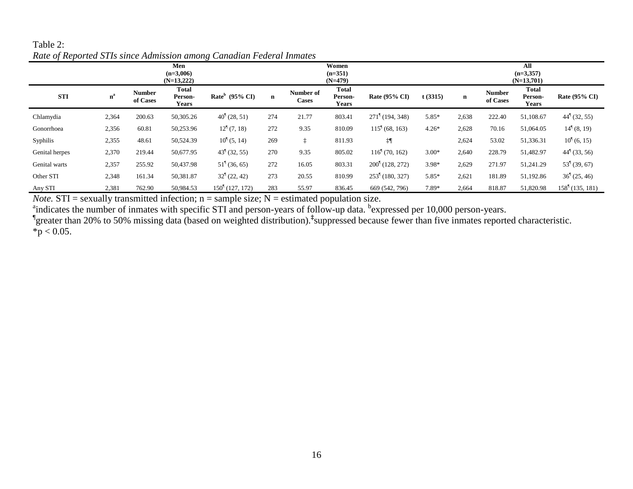| $\cdot$        |       |                           | Men<br>$(n=3,006)$<br>$(N=13,222)$ | ີ                             |             |                           | Women<br>$(n=351)$<br>$(N=479)$  |                               |         | All<br>$(n=3,357)$<br>$(N=13,701)$ |                           |                                         |                           |  |  |
|----------------|-------|---------------------------|------------------------------------|-------------------------------|-------------|---------------------------|----------------------------------|-------------------------------|---------|------------------------------------|---------------------------|-----------------------------------------|---------------------------|--|--|
| <b>STI</b>     | $n^a$ | <b>Number</b><br>of Cases | Total<br>Person-<br><b>Years</b>   | Rate $b$ (95% CI)             | $\mathbf n$ | Number of<br><b>Cases</b> | <b>Total</b><br>Person-<br>Years | Rate (95% CI)                 | t(3315) | $\mathbf n$                        | <b>Number</b><br>of Cases | <b>Total</b><br>Person-<br><b>Years</b> | Rate (95% CI)             |  |  |
| Chlamydia      | 2,364 | 200.63                    | 50,305.26                          | $40^{\frac{1}{2}}(28, 51)$    | 274         | 21.77                     | 803.41                           | $271^{\dagger}$ (194, 348)    | $5.85*$ | 2,638                              | 222.40                    | 51,108.67                               | $44^{\dagger}$ (32, 55)   |  |  |
| Gonorrhoea     | 2,356 | 60.81                     | 50,253.96                          | $12^{\frac{1}{2}}(7, 18)$     | 272         | 9.35                      | 810.09                           | $1151$ (68, 163)              | $4.26*$ | 2,628                              | 70.16                     | 51,064.05                               | $14^{\dagger}$ (8, 19)    |  |  |
| Syphilis       | 2,355 | 48.61                     | 50,524.39                          | $10^{\frac{1}{3}}(5, 14)$     | 269         | ÷                         | 811.93                           | ‡¶                            |         | 2,624                              | 53.02                     | 51,336.31                               | $10^{\frac{1}{3}}(6, 15)$ |  |  |
| Genital herpes | 2,370 | 219.44                    | 50,677.95                          | $43^{\dagger}$ (32, 55)       | 270         | 9.35                      | 805.02                           | $116^{\frac{1}{2}}(70, 162)$  | $3.00*$ | 2,640                              | 228.79                    | 51,482.97                               | $44^{\dagger}$ (33, 56)   |  |  |
| Genital warts  | 2,357 | 255.92                    | 50,437.98                          | $51^{\frac{6}{3}}(36, 65)$    | 272         | 16.05                     | 803.31                           | $200^{\frac{1}{2}}(128, 272)$ | $3.98*$ | 2,629                              | 271.97                    | 51,241.29                               | 53 <sup>1</sup> (39, 67)  |  |  |
| Other STI      | 2,348 | 161.34                    | 50,381.87                          | $32^{\frac{6}{3}}(22, 42)$    | 273         | 20.55                     | 810.99                           | $253^{\dagger}$ (180, 327)    | 5.85*   | 2,621                              | 181.89                    | 51,192.86                               | 36 <sup>1</sup> (25, 46)  |  |  |
| Any STI        | 2,381 | 762.90                    | 50,984.53                          | $150^{\frac{1}{2}}(127, 172)$ | 283         | 55.97                     | 836.45                           | 669 (542, 796)                | 7.89*   | 2,664                              | 818.87                    | 51,820.98                               | $1581$ (135, 181)         |  |  |

## Table 2: *Rate of Reported STIs since Admission among Canadian Federal Inmates*

<span id="page-34-0"></span>*Note.*  $STI =$  sexually transmitted infection;  $n =$  sample size;  $N =$  estimated population size.

andicates the number of inmates with specific STI and person-years of follow-up data. bexpressed per 10,000 person-years.<br>"greater than 20% to 50% missing data (based on weighted distribution).<sup>‡</sup>suppressed because fewer t  $*$ p < 0.05.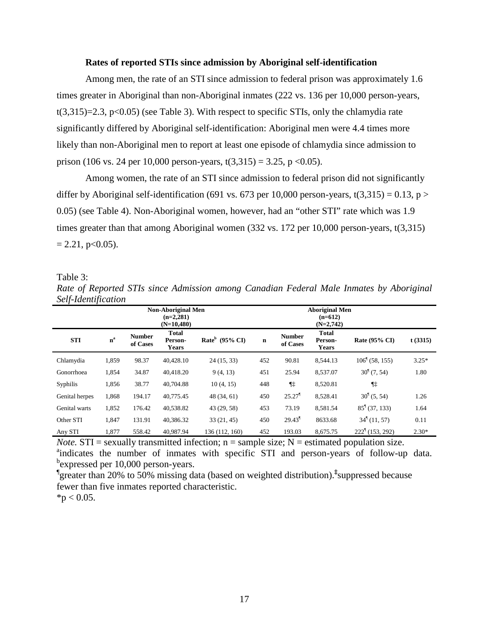#### **Rates of reported STIs since admission by Aboriginal self-identification**

<span id="page-35-0"></span>Among men, the rate of an STI since admission to federal prison was approximately 1.6 times greater in Aboriginal than non-Aboriginal inmates (222 vs. 136 per 10,000 person-years,  $t(3,315)=2.3$ ,  $p<0.05$ ) (see Table 3). With respect to specific STIs, only the chlamydia rate significantly differed by Aboriginal self-identification: Aboriginal men were 4.4 times more likely than non-Aboriginal men to report at least one episode of chlamydia since admission to prison (106 vs. 24 per 10,000 person-years,  $t(3,315) = 3.25$ , p <0.05).

Among women, the rate of an STI since admission to federal prison did not significantly differ by Aboriginal self-identification (691 vs. 673 per 10,000 person-years, t(3,315) = 0.13, p > 0.05) (see Table 4). Non-Aboriginal women, however, had an "other STI" rate which was 1.9 times greater than that among Aboriginal women (332 vs. 172 per 10,000 person-years, t(3,315)  $= 2.21$ , p $< 0.05$ ).

Table 3:

<span id="page-35-1"></span>*Rate of Reported STIs since Admission among Canadian Federal Male Inmates by Aboriginal Self-Identification*

|                |                      |                           | <b>Non-Aboriginal Men</b><br>$(n=2,281)$<br>$(N=10,480)$ |                   |             |                           |                                         |                             |         |
|----------------|----------------------|---------------------------|----------------------------------------------------------|-------------------|-------------|---------------------------|-----------------------------------------|-----------------------------|---------|
| <b>STI</b>     | $\mathbf{n}^{\rm a}$ | <b>Number</b><br>of Cases | <b>Total</b><br>Person-<br><b>Years</b>                  | Rate $b$ (95% CI) | $\mathbf n$ | <b>Number</b><br>of Cases | <b>Total</b><br>Person-<br><b>Years</b> | Rate (95% CI)               | t(3315) |
| Chlamydia      | 1,859                | 98.37                     | 40.428.10                                                | 24(15, 33)        | 452         | 90.81                     | 8.544.13                                | $106^{\{}$ (58, 155)        | $3.25*$ |
| Gonorrhoea     | 1,854                | 34.87                     | 40,418.20                                                | 9(4, 13)          | 451         | 25.94                     | 8,537.07                                | $301$ (7, 54)               | 1.80    |
| Syphilis       | 1,856                | 38.77                     | 40,704.88                                                | 10(4, 15)         | 448         | $\P$ $\ddagger$           | 8,520.81                                | $\P$ ‡                      |         |
| Genital herpes | 1,868                | 194.17                    | 40,775.45                                                | 48(34, 61)        | 450         | $25.27$ <sup>1</sup>      | 8,528.41                                | $301$ (5, 54)               | 1.26    |
| Genital warts  | 1,852                | 176.42                    | 40,538.82                                                | 43 (29, 58)       | 453         | 73.19                     | 8.581.54                                | $85^{\frac{1}{3}}(37, 133)$ | 1.64    |
| Other STI      | 1,847                | 131.91                    | 40.386.32                                                | 33(21, 45)        | 450         | $29.43$ <sup>1</sup>      | 8633.68                                 | 34 <sup>1</sup> (11, 57)    | 0.11    |
| Any STI        | 1,877                | 558.42                    | 40.987.94                                                | 136 (112, 160)    | 452         | 193.03                    | 8.675.75                                | $222^{\dagger}$ (153, 292)  | $2.30*$ |

*Note.*  $STI =$  sexually transmitted infection;  $n =$  sample size;  $N =$  estimated population size. <sup>a</sup>indicates the number of inmates with specific STI and person-years of follow-up data. <sup>b</sup>expressed per 10,000 person-years.

¶ greater than 20% to 50% missing data (based on weighted distribution).**‡** suppressed because fewer than five inmates reported characteristic.

 $*p < 0.05$ .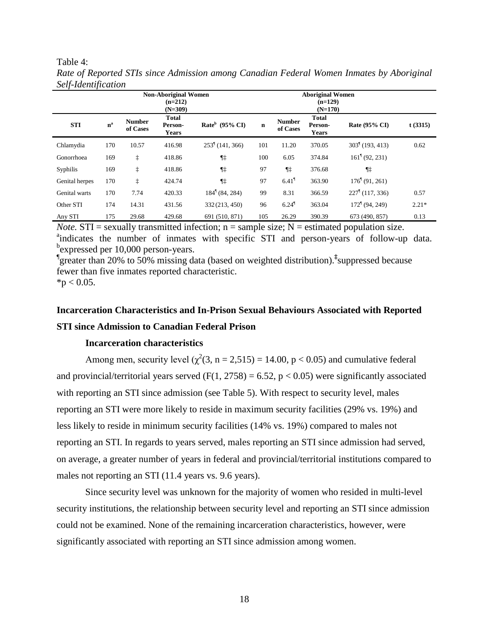<span id="page-36-2"></span>Table 4: *Rate of Reported STIs since Admission among Canadian Federal Women Inmates by Aboriginal Self-Identification*

|                |                           |                           | <b>Non-Aboriginal Women</b><br>$(n=212)$<br>$(N=309)$ |                           |             |                           |                                         |                              |         |
|----------------|---------------------------|---------------------------|-------------------------------------------------------|---------------------------|-------------|---------------------------|-----------------------------------------|------------------------------|---------|
| <b>STI</b>     | $\mathbf{n}^{\mathrm{a}}$ | <b>Number</b><br>of Cases | <b>Total</b><br>Person-<br><b>Years</b>               | Rate $b$ (95% CI)         | $\mathbf n$ | <b>Number</b><br>of Cases | <b>Total</b><br>Person-<br><b>Years</b> | Rate (95% CI)                | t(3315) |
| Chlamydia      | 170                       | 10.57                     | 416.98                                                | $2531$ (141, 366)         | 101         | 11.20                     | 370.05                                  | $3031$ (193, 413)            | 0.62    |
| Gonorrhoea     | 169                       | ţ                         | 418.86                                                | ¶‡                        | 100         | 6.05                      | 374.84                                  | $161^{\frac{1}{2}}(92, 231)$ |         |
| Syphilis       | 169                       | $\ddagger$                | 418.86                                                | ¶‡                        | 97          | ¶‡                        | 376.68                                  | ¶‡                           |         |
| Genital herpes | 170                       | ţ                         | 424.74                                                | ¶‡                        | 97          | $6.41$ <sup>1</sup>       | 363.90                                  | $176^{\{}$ (91, 261)         |         |
| Genital warts  | 170                       | 7.74                      | 420.33                                                | $184^{\dagger}$ (84, 284) | 99          | 8.31                      | 366.59                                  | $2271$ (117, 336)            | 0.57    |
| Other STI      | 174                       | 14.31                     | 431.56                                                | 332 (213, 450)            | 96          | $6.24$ <sup>1</sup>       | 363.04                                  | $1721$ (94, 249)             | $2.21*$ |
| Any STI        | 175                       | 29.68                     | 429.68                                                | 691 (510, 871)            | 105         | 26.29                     | 390.39                                  | 673 (490, 857)               | 0.13    |

*Note.*  $STI =$  sexually transmitted infection;  $n =$  sample size;  $N =$  estimated population size. <sup>a</sup>indicates the number of inmates with specific STI and person-years of follow-up data. bexpressed per 10,000 person-years.

¶ greater than 20% to 50% missing data (based on weighted distribution).**‡** suppressed because  $*_{p} < 0.05$ . fewer than five inmates reported characteristic.

# <span id="page-36-0"></span>**Incarceration Characteristics and In-Prison Sexual Behaviours Associated with Reported STI since Admission to Canadian Federal Prison**

### **Incarceration characteristics**

<span id="page-36-1"></span>Among men, security level  $(\chi^2(3, n = 2.515) = 14.00, p < 0.05)$  and cumulative federal and provincial/territorial years served (F(1, 2758) = 6.52,  $p < 0.05$ ) were significantly associated with reporting an STI since admission (see Table 5). With respect to security level, males reporting an STI were more likely to reside in maximum security facilities (29% vs. 19%) and less likely to reside in minimum security facilities (14% vs. 19%) compared to males not reporting an STI. In regards to years served, males reporting an STI since admission had served, on average, a greater number of years in federal and provincial/territorial institutions compared to males not reporting an STI (11.4 years vs. 9.6 years).

Since security level was unknown for the majority of women who resided in multi-level security institutions, the relationship between security level and reporting an STI since admission could not be examined. None of the remaining incarceration characteristics, however, were significantly associated with reporting an STI since admission among women.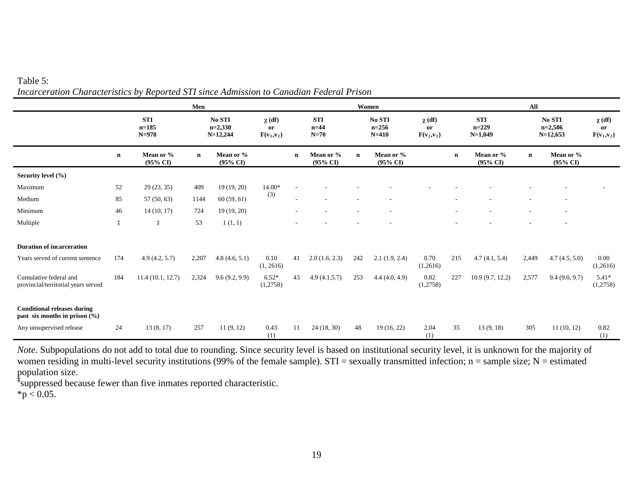## Table 5:

|                                                                         |             | Men                                |                                   |                                  |                                               |              |                                  |                                | Women                            |                                           |             | All                                |             |                                   |                                               |  |  |
|-------------------------------------------------------------------------|-------------|------------------------------------|-----------------------------------|----------------------------------|-----------------------------------------------|--------------|----------------------------------|--------------------------------|----------------------------------|-------------------------------------------|-------------|------------------------------------|-------------|-----------------------------------|-----------------------------------------------|--|--|
|                                                                         |             | <b>STI</b><br>$n = 185$<br>$N=978$ | No STI<br>$n=2,330$<br>$N=12,244$ |                                  | $\chi$ (df)<br><sub>or</sub><br>$F(v_1, v_2)$ |              | <b>STI</b><br>$n=44$<br>$N=70$   | No STI<br>$n=256$<br>$N = 410$ |                                  | $\chi$ (df)<br><b>or</b><br>$F(v_1, v_2)$ |             | <b>STI</b><br>$n=229$<br>$N=1,049$ |             | No STI<br>$n=2,586$<br>$N=12,653$ | $\chi$ (df)<br><sub>or</sub><br>$F(v_1, v_2)$ |  |  |
|                                                                         | $\mathbf n$ | Mean or %<br>$(95\% \text{ CI})$   | $\mathbf n$                       | Mean or %<br>$(95\% \text{ CI})$ |                                               | $\mathbf{n}$ | Mean or %<br>$(95\% \text{ CI})$ | $\mathbf n$                    | Mean or %<br>$(95\% \text{ CI})$ |                                           | $\mathbf n$ | Mean or %<br>$(95\% \text{ CI})$   | $\mathbf n$ | Mean or %<br>$(95\% \text{ CI})$  |                                               |  |  |
| Security level (%)                                                      |             |                                    |                                   |                                  |                                               |              |                                  |                                |                                  |                                           |             |                                    |             |                                   |                                               |  |  |
| Maximum                                                                 | 52          | 29(23, 35)                         | 409                               | 19(19, 20)                       | 14.00*                                        |              |                                  |                                |                                  |                                           |             |                                    |             |                                   |                                               |  |  |
| Medium                                                                  | 85          | 57(50, 63)                         | 1144                              | 60(59, 61)                       | (3)                                           |              |                                  |                                |                                  |                                           |             |                                    |             |                                   |                                               |  |  |
| Minimum                                                                 | 46          | 14(10, 17)                         | 724                               | 19 (19, 20)                      |                                               |              |                                  |                                |                                  |                                           |             |                                    |             |                                   |                                               |  |  |
| Multiple                                                                | $\ddagger$  | $\ddagger$                         | 53                                | 1(1, 1)                          |                                               |              |                                  |                                | ٠                                |                                           |             |                                    |             |                                   |                                               |  |  |
| <b>Duration of incarceration</b>                                        |             |                                    |                                   |                                  |                                               |              |                                  |                                |                                  |                                           |             |                                    |             |                                   |                                               |  |  |
| Years served of current sentence                                        | 174         | 4.9(4.2, 5.7)                      | 2,207                             | 4.8(4.6, 5.1)                    | 0.10<br>(1, 2616)                             | 41           | 2.0(1.6, 2.3)                    | 242                            | 2.1(1.9, 2.4)                    | 0.70<br>(1,2616)                          | 215         | 4.7(4.1, 5.4)                      | 2,449       | 4.7(4.5, 5.0)                     | 0.00<br>(1,2616)                              |  |  |
| Cumulative federal and<br>provincial/territorial years served           | 184         | 11.4(10.1, 12.7)                   | 2,324                             | 9.6(9.2, 9.9)                    | $6.52*$<br>(1,2758)                           | 43           | 4.9(4.1,5.7)                     | 253                            | 4.4(4.0, 4.9)                    | 0.82<br>(1,2758)                          | 227         | 10.9(9.7, 12.2)                    | 2,577       | 9.4(9.0, 9.7)                     | $5.41*$<br>(1,2758)                           |  |  |
| <b>Conditional releases during</b><br>past six months in prison $(\% )$ |             |                                    |                                   |                                  |                                               |              |                                  |                                |                                  |                                           |             |                                    |             |                                   |                                               |  |  |
| Any unsupervised release                                                | 24          | 13(8, 17)                          | 257                               | 11(9, 12)                        | 0.43<br>(1)                                   | 11           | 24(18, 30)                       | 48                             | 19(16, 22)                       | 2.04<br>(1)                               | 35          | 13(9, 18)                          | 305         | 11(10, 12)                        | 0.82<br>(1)                                   |  |  |

*Incarceration Characteristics by Reported STI since Admission to Canadian Federal Prison*

<span id="page-37-0"></span>*Note.* Subpopulations do not add to total due to rounding. Since security level is based on institutional security level, it is unknown for the majority of women residing in multi-level security institutions (99% of the female sample). STI = sexually transmitted infection; n = sample size; N = estimated population size.

**‡** suppressed because fewer than five inmates reported characteristic.

 $*p < 0.05$ .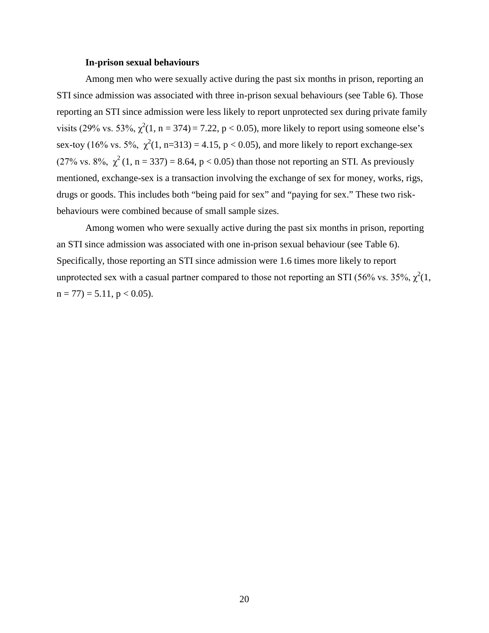#### **In-prison sexual behaviours**

<span id="page-38-0"></span>Among men who were sexually active during the past six months in prison, reporting an STI since admission was associated with three in-prison sexual behaviours (see Table 6). Those reporting an STI since admission were less likely to report unprotected sex during private family visits (29% vs. 53%,  $\chi^2(1, n = 374) = 7.22$ , p < 0.05), more likely to report using someone else's sex-toy (16% vs. 5%,  $\chi^2(1, n=313) = 4.15$ , p < 0.05), and more likely to report exchange-sex (27% vs. 8%,  $\chi^2$  (1, n = 337) = 8.64, p < 0.05) than those not reporting an STI. As previously mentioned, exchange-sex is a transaction involving the exchange of sex for money, works, rigs, drugs or goods. This includes both "being paid for sex" and "paying for sex." These two riskbehaviours were combined because of small sample sizes.

Among women who were sexually active during the past six months in prison, reporting an STI since admission was associated with one in-prison sexual behaviour (see Table 6). Specifically, those reporting an STI since admission were 1.6 times more likely to report unprotected sex with a casual partner compared to those not reporting an STI (56% vs. 35%,  $\chi^2(1)$ ,  $n = 77$ ) = 5.11,  $p < 0.05$ ).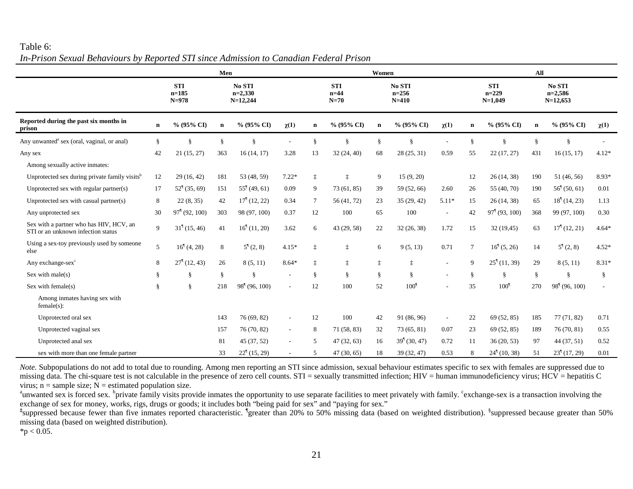## Table 6: *In-Prison Sexual Behaviours by Reported STI since Admission to Canadian Federal Prison*

<span id="page-39-0"></span>

|                                                                               | Men                |                                    |             |                                              |           |                 |                                | Women       | All                              |                          |             |                                    |             |                                      |           |
|-------------------------------------------------------------------------------|--------------------|------------------------------------|-------------|----------------------------------------------|-----------|-----------------|--------------------------------|-------------|----------------------------------|--------------------------|-------------|------------------------------------|-------------|--------------------------------------|-----------|
|                                                                               |                    | <b>STI</b><br>$n = 185$<br>$N=978$ |             | No STI<br>$n=2,330$<br>$N=12,244$            |           |                 | <b>STI</b><br>$n=44$<br>$N=70$ |             | No STI<br>$n = 256$<br>$N = 410$ |                          |             | <b>STI</b><br>$n=229$<br>$N=1,049$ |             | No STI<br>$n=2,586$<br>$N=12,653$    |           |
| Reported during the past six months in<br>prison                              | $\mathbf n$        | % (95% CI)                         | $\mathbf n$ | % (95% CI)                                   | $\chi(1)$ | $\mathbf n$     | % (95% CI)                     | $\mathbf n$ | $% (95\% CI)$                    | $\chi(1)$                | $\mathbf n$ | % (95% CI)                         | $\mathbf n$ | % (95% CI)                           | $\chi(1)$ |
| Any unwanted <sup>a</sup> sex (oral, vaginal, or anal)                        | $\S$               | $\S$                               | $\S$        | $\frac{8}{9}$                                |           | §               | Ş                              | ş           | ş                                |                          |             | 8                                  | ş           | ş                                    |           |
| Any sex                                                                       | 42                 | 21(15, 27)                         | 363         | 16(14, 17)                                   | 3.28      | 13              | 32(24, 40)                     | 68          | 28(25, 31)                       | 0.59                     | 55          | 22(17, 27)                         | 431         | 16(15, 17)                           | $4.12*$   |
| Among sexually active inmates:                                                |                    |                                    |             |                                              |           |                 |                                |             |                                  |                          |             |                                    |             |                                      |           |
| Unprotected sex during private family visits <sup>b</sup>                     | 12                 | 29 (16, 42)                        | 181         | 53 (48, 59)                                  | $7.22*$   | $\ddagger$      | İ                              | 9           | 15(9, 20)                        |                          | 12          | 26(14, 38)                         | 190         | 51 (46, 56)                          | 8.93*     |
| Unprotected sex with regular partner(s)                                       | 17                 | $52^{\frac{1}{3}}(35, 69)$         | 151         | $55^{\frac{1}{2}}(49, 61)$                   | 0.09      | 9               | 73(61, 85)                     | 39          | 59 (52, 66)                      | 2.60                     | 26          | 55 (40, 70)                        | 190         | $56^{\dagger} (50, 61)$              | 0.01      |
| Unprotected sex with casual partner(s)                                        | 8                  | 22(8, 35)                          | 42          | $171$ (12, 22)                               | 0.34      | $7\phantom{.0}$ | 56 (41, 72)                    | 23          | 35(29, 42)                       | $5.11*$                  | 15          | 26(14, 38)                         | 65          | $181$ (14, 23)                       | 1.13      |
| Any unprotected sex                                                           | 30                 | $971$ (92, 100)                    | 303         | 98 (97, 100)                                 | 0.37      | 12              | 100                            | 65          | 100                              | $\overline{\phantom{a}}$ | 42          | $971$ (93, 100)                    | 368         | 99 (97, 100)                         | 0.30      |
| Sex with a partner who has HIV, HCV, an<br>STI or an unknown infection status | $\mathbf{Q}$       | 31 <sup>1</sup> (15, 46)           | 41          | $16^{\dagger}$ (11, 20)                      | 3.62      | 6               | 43 (29, 58)                    | 22          | 32(26, 38)                       | 1.72                     | 15          | 32 (19,45)                         | 63          | $171$ (12, 21)                       | $4.64*$   |
| Using a sex-toy previously used by someone<br>else                            | 5                  | $16^{1}(4, 28)$                    | 8           | $5^{\dagger}(2, 8)$                          | $4.15*$   | İ               | İ                              | 6           | 9(5, 13)                         | 0.71                     | $\tau$      | $16^{\frac{1}{3}}(5, 26)$          | 14          | $5^{\frac{1}{2}}(2, 8)$              | $4.52*$   |
| Any exchange-sex <sup>c</sup>                                                 | 8                  | $27^{\dagger}$ (12, 43)            | 26          | 8(5, 11)                                     | $8.64*$   | İ               | $\ddagger$                     | $\ddagger$  | ţ                                |                          | 9           | $25^{\frac{6}{3}}(11, 39)$         | 29          | 8(5, 11)                             | $8.31*$   |
| Sex with male( $s$ )                                                          | ş                  | $\S$                               | $\S$        | ş                                            |           | ş               | ş                              | §           | ş                                |                          |             | ş                                  | ş           | ş                                    | §         |
| Sex with $female(s)$                                                          | $\hat{\mathbf{S}}$ | $\S$                               | 218         | 98 <sup><math>\degree</math></sup> (96, 100) |           | 12              | 100                            | 52          | 100 <sup>1</sup>                 |                          | 35          | 100 <sup>1</sup>                   | 270         | 98 <sup><math>(96, 100)</math></sup> |           |
| Among inmates having sex with<br>$female(s)$ :                                |                    |                                    |             |                                              |           |                 |                                |             |                                  |                          |             |                                    |             |                                      |           |
| Unprotected oral sex                                                          |                    |                                    | 143         | 76(69, 82)                                   | $\sim$    | 12              | 100                            | 42          | 91 (86, 96)                      | $\sim$                   | 22          | 69 (52, 85)                        | 185         | 77(71, 82)                           | 0.71      |
| Unprotected vaginal sex                                                       |                    |                                    | 157         | 76 (70, 82)                                  | $\sim$    | 8               | 71 (58, 83)                    | 32          | 73(65, 81)                       | 0.07                     | 23          | 69 (52, 85)                        | 189         | 76 (70, 81)                          | 0.55      |
| Unprotected anal sex                                                          |                    |                                    | 81          | 45 (37, 52)                                  |           | 5               | 47(32, 63)                     | 16          | 39 <sup>1</sup> (30, 47)         | 0.72                     | 11          | 36(20, 53)                         | 97          | 44 (37, 51)                          | 0.52      |
| sex with more than one female partner                                         |                    |                                    | 33          | $22^{\frac{1}{3}}(15, 29)$                   |           | 5               | 47(30, 65)                     | 18          | 39 (32, 47)                      | 0.53                     | 8           | $24^{\frac{1}{2}}(10, 38)$         | 51          | 23 <sup>1</sup> (17, 29)             | 0.01      |

*Note*. Subpopulations do not add to total due to rounding. Among men reporting an STI since admission, sexual behaviour estimates specific to sex with females are suppressed due to missing data. The chi-square test is not calculable in the presence of zero cell counts. STI = sexually transmitted infection; HIV = human immunodeficiency virus; HCV = hepatitis C virus;  $n =$  sample size;  $N =$  estimated population size.

<sup>a</sup>unwanted sex is forced sex. <sup>b</sup>private family visits provide inmates the opportunity to use separate facilities to meet privately with family. <sup>c</sup>exchange-sex is a transaction involving the exchange of sex for money, works, rigs, drugs or goods; it includes both "being paid for sex" and "paying for sex."

<sup>‡</sup>suppressed because fewer than five inmates reported characteristic. <sup>1</sup>greater than 20% to 50% missing data (based on weighted distribution). <sup>§</sup>suppressed because greater than 50% missing data (based on weighted distribution).

 $*$ p < 0.05.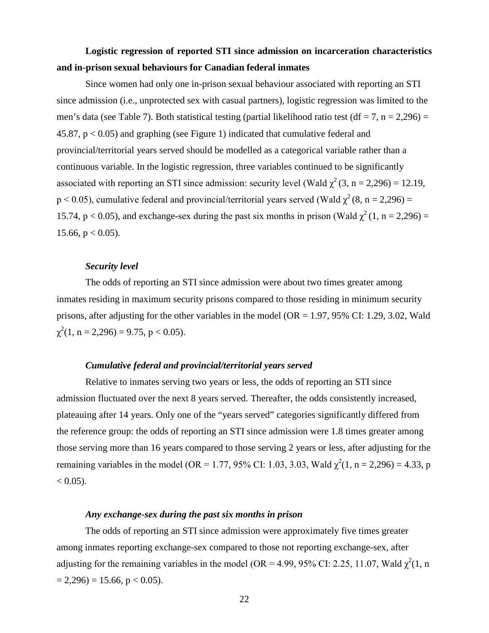# <span id="page-40-0"></span>**Logistic regression of reported STI since admission on incarceration characteristics and in-prison sexual behaviours for Canadian federal inmates**

Since women had only one in-prison sexual behaviour associated with reporting an STI since admission (i.e., unprotected sex with casual partners), logistic regression was limited to the men's data (see Table 7). Both statistical testing (partial likelihood ratio test (df = 7, n = 2,296) = 45.87, p < 0.05) and graphing (see Figure 1) indicated that cumulative federal and provincial/territorial years served should be modelled as a categorical variable rather than a continuous variable. In the logistic regression, three variables continued to be significantly associated with reporting an STI since admission: security level (Wald  $\chi^2$  (3, n = 2,296) = 12.19,  $p < 0.05$ ), cumulative federal and provincial/territorial years served (Wald  $\chi^2$  (8, n = 2,296) = 15.74, p < 0.05), and exchange-sex during the past six months in prison (Wald  $\gamma^2$  (1, n = 2,296) = 15.66,  $p < 0.05$ ).

#### *Security level*

<span id="page-40-1"></span>The odds of reporting an STI since admission were about two times greater among inmates residing in maximum security prisons compared to those residing in minimum security prisons, after adjusting for the other variables in the model (OR = 1.97, 95% CI: 1.29, 3.02, Wald  $\chi^2(1, n = 2,296) = 9.75, p < 0.05)$ .

### *Cumulative federal and provincial/territorial years served*

<span id="page-40-2"></span>Relative to inmates serving two years or less, the odds of reporting an STI since admission fluctuated over the next 8 years served. Thereafter, the odds consistently increased, plateauing after 14 years. Only one of the "years served" categories significantly differed from the reference group: the odds of reporting an STI since admission were 1.8 times greater among those serving more than 16 years compared to those serving 2 years or less, after adjusting for the remaining variables in the model (OR = 1.77, 95% CI: 1.03, 3.03, Wald  $\chi^2(1, n = 2,296) = 4.33$ , p  $< 0.05$ ).

#### *Any exchange-sex during the past six months in prison*

<span id="page-40-3"></span>The odds of reporting an STI since admission were approximately five times greater among inmates reporting exchange-sex compared to those not reporting exchange-sex, after adjusting for the remaining variables in the model (OR = 4.99, 95% CI: 2.25, 11.07, Wald  $\chi^2(1, n)$  $= 2,296$  = 15.66, p < 0.05).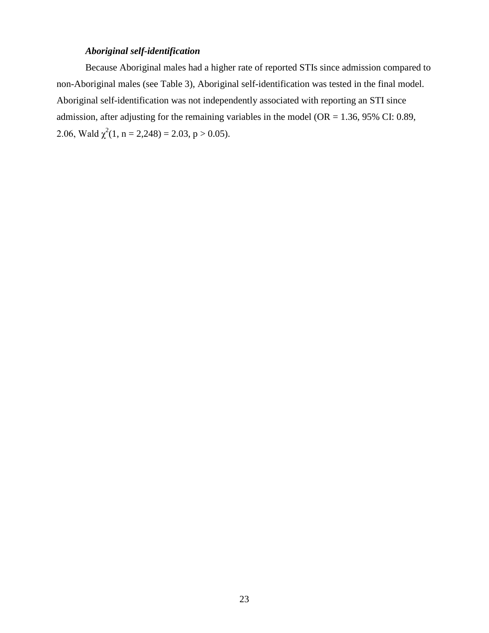### *Aboriginal self-identification*

<span id="page-41-0"></span>Because Aboriginal males had a higher rate of reported STIs since admission compared to non-Aboriginal males (see Table 3), Aboriginal self-identification was tested in the final model. Aboriginal self-identification was not independently associated with reporting an STI since admission, after adjusting for the remaining variables in the model ( $OR = 1.36$ , 95% CI: 0.89, 2.06, Wald  $\chi^2(1, n = 2,248) = 2.03, p > 0.05)$ .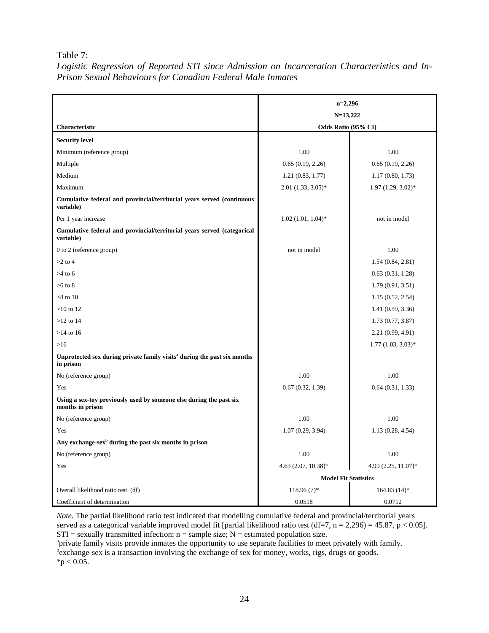Table 7:

|                                                                                                   | $n=2,296$               |                        |  |  |  |  |
|---------------------------------------------------------------------------------------------------|-------------------------|------------------------|--|--|--|--|
|                                                                                                   | $N=13,222$              |                        |  |  |  |  |
| Characteristic                                                                                    | Odds Ratio (95% CI)     |                        |  |  |  |  |
| <b>Security level</b>                                                                             |                         |                        |  |  |  |  |
| Minimum (reference group)                                                                         | 1.00                    | 1.00                   |  |  |  |  |
| Multiple                                                                                          | 0.65(0.19, 2.26)        | 0.65(0.19, 2.26)       |  |  |  |  |
| Medium                                                                                            | 1.21(0.83, 1.77)        | 1.17(0.80, 1.73)       |  |  |  |  |
| Maximum                                                                                           | $2.01$ $(1.33, 3.05)$ * | $1.97(1.29, 3.02)^{*}$ |  |  |  |  |
| Cumulative federal and provincial/territorial years served (continuous<br>variable)               |                         |                        |  |  |  |  |
| Per 1 year increase                                                                               | $1.02(1.01, 1.04)$ *    | not in model           |  |  |  |  |
| Cumulative federal and provincial/territorial years served (categorical<br>variable)              |                         |                        |  |  |  |  |
| 0 to 2 (reference group)                                                                          | not in model            | 1.00                   |  |  |  |  |
| $>2$ to 4                                                                                         |                         | 1.54(0.84, 2.81)       |  |  |  |  |
| $>4$ to 6                                                                                         |                         | 0.63(0.31, 1.28)       |  |  |  |  |
| $>6$ to $8$                                                                                       |                         | 1.79(0.91, 3.51)       |  |  |  |  |
| $>8$ to 10                                                                                        |                         | 1.15(0.52, 2.54)       |  |  |  |  |
| $>10$ to 12                                                                                       |                         | 1.41(0.59, 3.36)       |  |  |  |  |
| $>12$ to 14                                                                                       |                         | 1.73(0.77, 3.87)       |  |  |  |  |
| $>14$ to 16                                                                                       |                         | 2.21(0.99, 4.91)       |  |  |  |  |
| $>16$                                                                                             |                         | $1.77(1.03, 3.03)*$    |  |  |  |  |
| Unprotected sex during private family visits <sup>a</sup> during the past six months<br>in prison |                         |                        |  |  |  |  |
| No (reference group)                                                                              | 1.00                    | 1.00                   |  |  |  |  |
| Yes                                                                                               | 0.67(0.32, 1.39)        | 0.64(0.31, 1.33)       |  |  |  |  |
| Using a sex-toy previously used by someone else during the past six<br>months in prison           |                         |                        |  |  |  |  |
| No (reference group)                                                                              | 1.00                    | 1.00                   |  |  |  |  |

<span id="page-42-0"></span>*Logistic Regression of Reported STI since Admission on Incarceration Characteristics and In-Prison Sexual Behaviours for Canadian Federal Male Inmates*

*Note.* The partial likelihood ratio test indicated that modelling cumulative federal and provincial/territorial years served as a categorical variable improved model fit [partial likelihood ratio test (df=7, n = 2,296) = 45.87, p < 0.05].  $STI =$  sexually transmitted infection;  $n =$  sample size;  $N =$  estimated population size.

**Model Fit Statistics**

Yes 1.07 (0.29, 3.94) 1.13 (0.28, 4.54)

No (reference group) 1.00 1.00 Yes  $4.63 (2.07, 10.38)^*$   $4.99 (2.25, 11.07)^*$ 

Overall likelihood ratio test (df) 118.96 (7)\* 164.83 (14)\* Coefficient of determination 0.0518 0.0712

**Any exchange-sexb during the past six months in prison**

<sup>a</sup>private family visits provide inmates the opportunity to use separate facilities to meet privately with family.<br><sup>b</sup>exchange-sex is a transaction involving the exchange of sex for money, works, rigs, drugs or goods.  $*$ p < 0.05.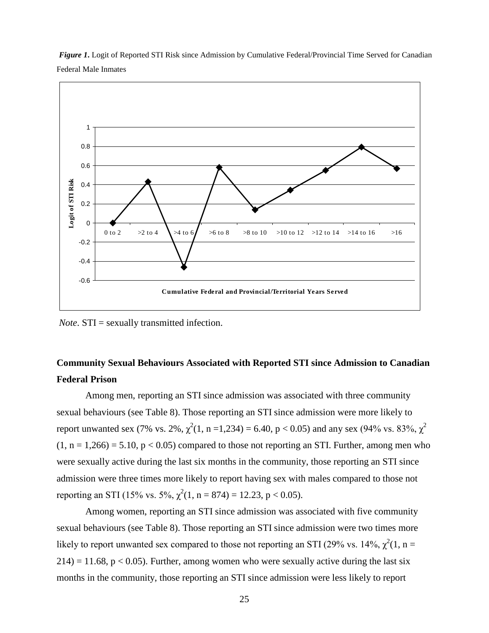<span id="page-43-1"></span>*Figure 1***.** Logit of Reported STI Risk since Admission by Cumulative Federal/Provincial Time Served for Canadian Federal Male Inmates



*Note*. STI = sexually transmitted infection.

# <span id="page-43-0"></span>**Community Sexual Behaviours Associated with Reported STI since Admission to Canadian Federal Prison**

Among men, reporting an STI since admission was associated with three community sexual behaviours (see Table 8). Those reporting an STI since admission were more likely to report unwanted sex (7% vs. 2%,  $\chi^2(1, n = 1, 234) = 6.40$ , p < 0.05) and any sex (94% vs. 83%,  $\chi^2$  $(1, n = 1,266) = 5.10$ ,  $p < 0.05$ ) compared to those not reporting an STI. Further, among men who were sexually active during the last six months in the community, those reporting an STI since admission were three times more likely to report having sex with males compared to those not reporting an STI (15% vs. 5%,  $\chi^2(1, n = 874) = 12.23$ , p < 0.05).

Among women, reporting an STI since admission was associated with five community sexual behaviours (see Table 8). Those reporting an STI since admission were two times more likely to report unwanted sex compared to those not reporting an STI (29% vs. 14%,  $\chi^2(1, n =$  $214$ ) = 11.68, p < 0.05). Further, among women who were sexually active during the last six months in the community, those reporting an STI since admission were less likely to report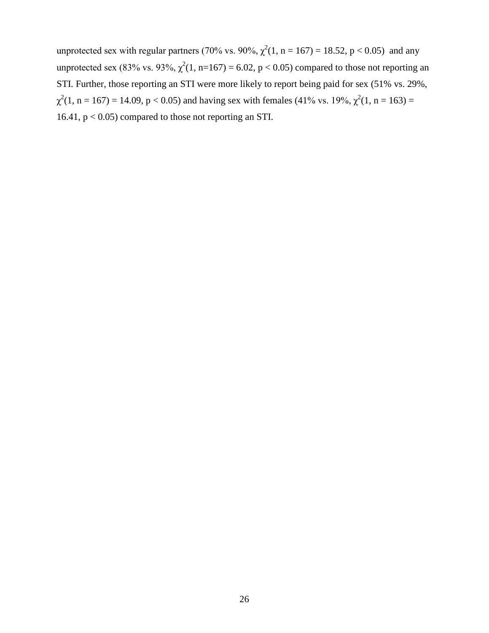unprotected sex with regular partners (70% vs. 90%,  $\chi^2(1, n = 167) = 18.52$ , p < 0.05) and any unprotected sex (83% vs. 93%,  $\chi^2(1, n=167) = 6.02$ , p < 0.05) compared to those not reporting an STI. Further, those reporting an STI were more likely to report being paid for sex (51% vs. 29%,  $\chi^2(1, n = 167) = 14.09$ , p < 0.05) and having sex with females (41% vs. 19%,  $\chi^2(1, n = 163) =$ 16.41, p < 0.05) compared to those not reporting an STI.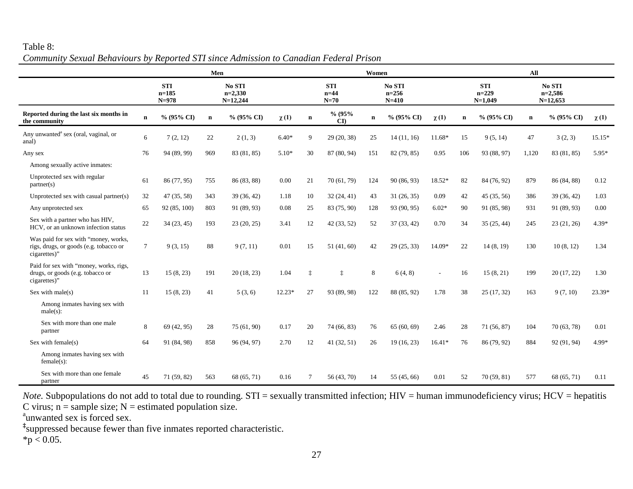### Table 8: *Community Sexual Behaviours by Reported STI since Admission to Canadian Federal Prison*

<span id="page-45-0"></span>

|                                                                                                | Men         |                                    |             |                                   |           | Women                          |              |                                  |               |           | All                                |             |                                   |             |           |
|------------------------------------------------------------------------------------------------|-------------|------------------------------------|-------------|-----------------------------------|-----------|--------------------------------|--------------|----------------------------------|---------------|-----------|------------------------------------|-------------|-----------------------------------|-------------|-----------|
|                                                                                                |             | <b>STI</b><br>$n=185$<br>$N = 978$ |             | No STI<br>$n=2,330$<br>$N=12,244$ |           | <b>STI</b><br>$n=44$<br>$N=70$ |              | No STI<br>$n = 256$<br>$N = 410$ |               |           | <b>STI</b><br>$n=229$<br>$N=1,049$ |             | No STI<br>$n=2,586$<br>$N=12,653$ |             |           |
| Reported during the last six months in<br>the community                                        | $\mathbf n$ | % (95% CI)                         | $\mathbf n$ | $% (95\% CI)$                     | $\chi(1)$ | $\mathbf n$                    | % (95%<br>CD | $\mathbf n$                      | $% (95\% CI)$ | $\chi(1)$ | n                                  | % (95% CI)  | $\mathbf n$                       | % (95% CI)  | $\chi(1)$ |
| Any unwanted <sup>a</sup> sex (oral, vaginal, or<br>anal)                                      | 6           | 7(2, 12)                           | 22          | 2(1, 3)                           | $6.40*$   | 9                              | 29 (20, 38)  | 25                               | 14(11, 16)    | 11.68*    | 15                                 | 9(5, 14)    | 47                                | 3(2, 3)     | 15.15*    |
| Any sex                                                                                        | 76          | 94 (89, 99)                        | 969         | 83 (81, 85)                       | $5.10*$   | 30                             | 87 (80, 94)  | 151                              | 82 (79, 85)   | 0.95      | 106                                | 93 (88, 97) | 1,120                             | 83 (81, 85) | 5.95*     |
| Among sexually active inmates:                                                                 |             |                                    |             |                                   |           |                                |              |                                  |               |           |                                    |             |                                   |             |           |
| Unprotected sex with regular<br>partner(s)                                                     | 61          | 86 (77, 95)                        | 755         | 86 (83, 88)                       | 0.00      | 21                             | 70 (61, 79)  | 124                              | 90 (86, 93)   | 18.52*    | 82                                 | 84 (76, 92) | 879                               | 86 (84, 88) | 0.12      |
| Unprotected sex with casual partner(s)                                                         | 32          | 47(35, 58)                         | 343         | 39 (36, 42)                       | 1.18      | 10                             | 32(24, 41)   | 43                               | 31(26, 35)    | 0.09      | 42                                 | 45(35, 56)  | 386                               | 39 (36, 42) | 1.03      |
| Any unprotected sex                                                                            | 65          | 92(85, 100)                        | 803         | 91 (89, 93)                       | 0.08      | 25                             | 83 (75, 90)  | 128                              | 93 (90, 95)   | $6.02*$   | 90                                 | 91 (85, 98) | 931                               | 91 (89, 93) | 0.00      |
| Sex with a partner who has HIV,<br>HCV, or an unknown infection status                         | 22          | 34(23, 45)                         | 193         | 23(20, 25)                        | 3.41      | 12                             | 42(33, 52)   | 52                               | 37(33, 42)    | 0.70      | 34                                 | 35(25, 44)  | 245                               | 23(21, 26)  | $4.39*$   |
| Was paid for sex with "money, works,<br>rigs, drugs, or goods (e.g. tobacco or<br>cigarettes)" | $\tau$      | 9(3, 15)                           | 88          | 9(7, 11)                          | 0.01      | 15                             | 51(41, 60)   | 42                               | 29(25, 33)    | 14.09*    | 22                                 | 14(8, 19)   | 130                               | 10(8, 12)   | 1.34      |
| Paid for sex with "money, works, rigs,<br>drugs, or goods (e.g. tobacco or<br>cigarettes)"     | 13          | 15(8, 23)                          | 191         | 20(18, 23)                        | 1.04      | ţ                              | $\ddagger$   | 8                                | 6(4, 8)       |           | 16                                 | 15(8, 21)   | 199                               | 20(17, 22)  | 1.30      |
| Sex with male( $s$ )                                                                           | 11          | 15(8, 23)                          | 41          | 5(3,6)                            | $12.23*$  | 27                             | 93 (89, 98)  | 122                              | 88 (85, 92)   | 1.78      | 38                                 | 25(17, 32)  | 163                               | 9(7, 10)    | 23.39*    |
| Among inmates having sex with<br>$male(s)$ :                                                   |             |                                    |             |                                   |           |                                |              |                                  |               |           |                                    |             |                                   |             |           |
| Sex with more than one male<br>partner                                                         | 8           | 69 (42, 95)                        | 28          | 75(61, 90)                        | 0.17      | 20                             | 74 (66, 83)  | 76                               | 65(60, 69)    | 2.46      | 28                                 | 71 (56, 87) | 104                               | 70 (63, 78) | 0.01      |
| Sex with female(s)                                                                             | 64          | 91 (84, 98)                        | 858         | 96 (94, 97)                       | 2.70      | 12                             | 41(32, 51)   | 26                               | 19(16, 23)    | $16.41*$  | 76                                 | 86 (79, 92) | 884                               | 92 (91, 94) | 4.99*     |
| Among inmates having sex with<br>$female(s)$ :                                                 |             |                                    |             |                                   |           |                                |              |                                  |               |           |                                    |             |                                   |             |           |
| Sex with more than one female<br>partner                                                       | 45          | 71 (59, 82)                        | 563         | 68 (65, 71)                       | 0.16      | 7                              | 56 (43, 70)  | 14                               | 55 (45, 66)   | 0.01      | 52                                 | 70(59, 81)  | 577                               | 68 (65, 71) | 0.11      |

*Note*. Subpopulations do not add to total due to rounding. STI = sexually transmitted infection; HIV = human immunodeficiency virus; HCV = hepatitis C virus;  $n =$  sample size;  $N =$  estimated population size.

<sup>a</sup>unwanted sex is forced sex.

**‡** suppressed because fewer than five inmates reported characteristic.

 $*$ p < 0.05.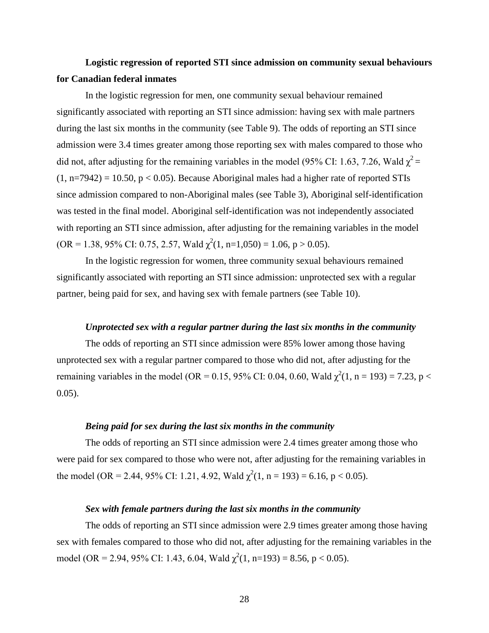# <span id="page-46-0"></span>**Logistic regression of reported STI since admission on community sexual behaviours for Canadian federal inmates**

In the logistic regression for men, one community sexual behaviour remained significantly associated with reporting an STI since admission: having sex with male partners during the last six months in the community (see Table 9). The odds of reporting an STI since admission were 3.4 times greater among those reporting sex with males compared to those who did not, after adjusting for the remaining variables in the model (95% CI: 1.63, 7.26, Wald  $\chi^2$  =  $(1, n=7942) = 10.50, p < 0.05$ . Because Aboriginal males had a higher rate of reported STIs since admission compared to non-Aboriginal males (see Table 3), Aboriginal self-identification was tested in the final model. Aboriginal self-identification was not independently associated with reporting an STI since admission, after adjusting for the remaining variables in the model  $(OR = 1.38, 95\% \text{ CI: } 0.75, 2.57, \text{Wald } \chi^2(1, n=1,050) = 1.06, p > 0.05).$ 

In the logistic regression for women, three community sexual behaviours remained significantly associated with reporting an STI since admission: unprotected sex with a regular partner, being paid for sex, and having sex with female partners (see Table 10).

#### *Unprotected sex with a regular partner during the last six months in the community*

<span id="page-46-1"></span>The odds of reporting an STI since admission were 85% lower among those having unprotected sex with a regular partner compared to those who did not, after adjusting for the remaining variables in the model (OR = 0.15, 95% CI: 0.04, 0.60, Wald  $\chi^2(1, n = 193) = 7.23$ , p < 0.05).

### *Being paid for sex during the last six months in the community*

<span id="page-46-2"></span>The odds of reporting an STI since admission were 2.4 times greater among those who were paid for sex compared to those who were not, after adjusting for the remaining variables in the model (OR = 2.44, 95% CI: 1.21, 4.92, Wald  $\chi^2(1, n = 193) = 6.16$ , p < 0.05).

#### *Sex with female partners during the last six months in the community*

<span id="page-46-3"></span>The odds of reporting an STI since admission were 2.9 times greater among those having sex with females compared to those who did not, after adjusting for the remaining variables in the model (OR = 2.94, 95% CI: 1.43, 6.04, Wald  $\chi^2(1, n=193) = 8.56$ , p < 0.05).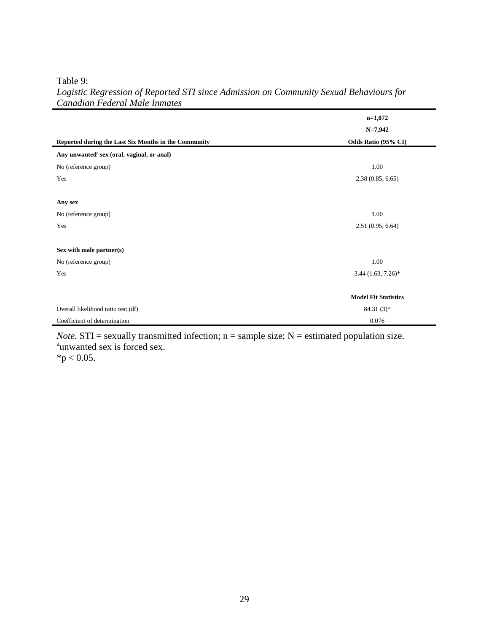Table 9:

|                                                        | $n=1,072$                   |
|--------------------------------------------------------|-----------------------------|
|                                                        | $N=7,942$                   |
| Reported during the Last Six Months in the Community   | Odds Ratio (95% CI)         |
| Any unwanted <sup>a</sup> sex (oral, vaginal, or anal) |                             |
| No (reference group)                                   | 1.00                        |
| Yes                                                    | 2.38(0.85, 6.65)            |
|                                                        |                             |
| Any sex                                                |                             |
| No (reference group)                                   | 1.00                        |
| Yes                                                    | 2.51(0.95, 6.64)            |
|                                                        |                             |
| Sex with male partner(s)                               |                             |
| No (reference group)                                   | 1.00                        |
| Yes                                                    | $3.44$ $(1.63, 7.26)$ *     |
|                                                        |                             |
|                                                        | <b>Model Fit Statistics</b> |
| Overall likelihood ratio test (df)                     | 84.31 $(3)*$                |
| Coefficient of determination                           | 0.076                       |

### <span id="page-47-0"></span>*Logistic Regression of Reported STI since Admission on Community Sexual Behaviours for Canadian Federal Male Inmates*

*Note.*  $STI =$  sexually transmitted infection;  $n =$  sample size;  $N =$  estimated population size. <sup>a</sup>unwanted sex is forced sex.

 $*p < 0.05$ .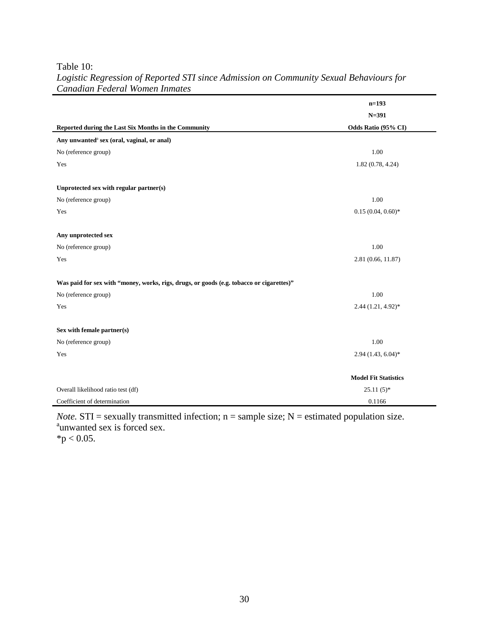Table 10:

|                                                                                          | $n=193$                     |
|------------------------------------------------------------------------------------------|-----------------------------|
|                                                                                          | $N = 391$                   |
| Reported during the Last Six Months in the Community                                     | Odds Ratio (95% CI)         |
| Any unwanted <sup>a</sup> sex (oral, vaginal, or anal)                                   |                             |
| No (reference group)                                                                     | 1.00                        |
| Yes                                                                                      | 1.82(0.78, 4.24)            |
|                                                                                          |                             |
| Unprotected sex with regular partner(s)                                                  |                             |
| No (reference group)                                                                     | 1.00                        |
| Yes                                                                                      | $0.15(0.04, 0.60)$ *        |
|                                                                                          |                             |
| Any unprotected sex                                                                      |                             |
| No (reference group)                                                                     | 1.00                        |
| Yes                                                                                      | 2.81 (0.66, 11.87)          |
|                                                                                          |                             |
| Was paid for sex with "money, works, rigs, drugs, or goods (e.g. tobacco or cigarettes)" |                             |
| No (reference group)                                                                     | $1.00\,$                    |
| Yes                                                                                      | 2.44 (1.21, 4.92)*          |
|                                                                                          |                             |
| Sex with female partner(s)                                                               |                             |
| No (reference group)                                                                     | 1.00                        |
| Yes                                                                                      | $2.94(1.43, 6.04)$ *        |
|                                                                                          |                             |
|                                                                                          | <b>Model Fit Statistics</b> |
| Overall likelihood ratio test (df)                                                       | $25.11(5)$ *                |
| Coefficient of determination                                                             | 0.1166                      |

## <span id="page-48-0"></span>*Logistic Regression of Reported STI since Admission on Community Sexual Behaviours for Canadian Federal Women Inmates*

*Note.* STI = sexually transmitted infection;  $n =$  sample size;  $N =$  estimated population size.  $a^a$  animated sex is forced sex.

 $*p < 0.05$ .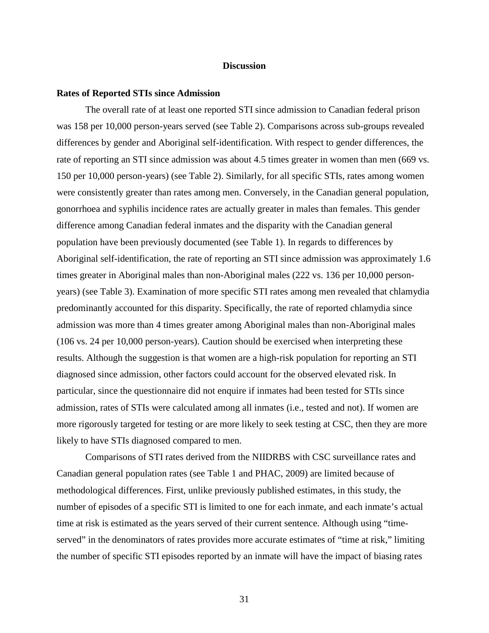#### **Discussion**

#### <span id="page-49-1"></span><span id="page-49-0"></span>**Rates of Reported STIs since Admission**

The overall rate of at least one reported STI since admission to Canadian federal prison was 158 per 10,000 person-years served (see Table 2). Comparisons across sub-groups revealed differences by gender and Aboriginal self-identification. With respect to gender differences, the rate of reporting an STI since admission was about 4.5 times greater in women than men (669 vs. 150 per 10,000 person-years) (see Table 2). Similarly, for all specific STIs, rates among women were consistently greater than rates among men. Conversely, in the Canadian general population, gonorrhoea and syphilis incidence rates are actually greater in males than females. This gender difference among Canadian federal inmates and the disparity with the Canadian general population have been previously documented (see Table 1). In regards to differences by Aboriginal self-identification, the rate of reporting an STI since admission was approximately 1.6 times greater in Aboriginal males than non-Aboriginal males (222 vs. 136 per 10,000 personyears) (see Table 3). Examination of more specific STI rates among men revealed that chlamydia predominantly accounted for this disparity. Specifically, the rate of reported chlamydia since admission was more than 4 times greater among Aboriginal males than non-Aboriginal males (106 vs. 24 per 10,000 person-years). Caution should be exercised when interpreting these results. Although the suggestion is that women are a high-risk population for reporting an STI diagnosed since admission, other factors could account for the observed elevated risk. In particular, since the questionnaire did not enquire if inmates had been tested for STIs since admission, rates of STIs were calculated among all inmates (i.e., tested and not). If women are more rigorously targeted for testing or are more likely to seek testing at CSC, then they are more likely to have STIs diagnosed compared to men.

Comparisons of STI rates derived from the NIIDRBS with CSC surveillance rates and Canadian general population rates (see Table 1 and PHAC, 2009) are limited because of methodological differences. First, unlike previously published estimates, in this study, the number of episodes of a specific STI is limited to one for each inmate, and each inmate's actual time at risk is estimated as the years served of their current sentence. Although using "timeserved" in the denominators of rates provides more accurate estimates of "time at risk," limiting the number of specific STI episodes reported by an inmate will have the impact of biasing rates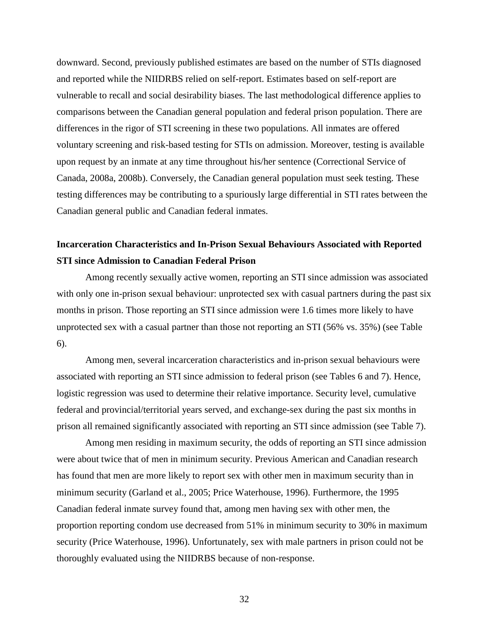downward. Second, previously published estimates are based on the number of STIs diagnosed and reported while the NIIDRBS relied on self-report. Estimates based on self-report are vulnerable to recall and social desirability biases. The last methodological difference applies to comparisons between the Canadian general population and federal prison population. There are differences in the rigor of STI screening in these two populations. All inmates are offered voluntary screening and risk-based testing for STIs on admission. Moreover, testing is available upon request by an inmate at any time throughout his/her sentence (Correctional Service of Canada, 2008a, 2008b). Conversely, the Canadian general population must seek testing. These testing differences may be contributing to a spuriously large differential in STI rates between the Canadian general public and Canadian federal inmates.

# <span id="page-50-0"></span>**Incarceration Characteristics and In-Prison Sexual Behaviours Associated with Reported STI since Admission to Canadian Federal Prison**

Among recently sexually active women, reporting an STI since admission was associated with only one in-prison sexual behaviour: unprotected sex with casual partners during the past six months in prison. Those reporting an STI since admission were 1.6 times more likely to have unprotected sex with a casual partner than those not reporting an STI (56% vs. 35%) (see Table 6).

Among men, several incarceration characteristics and in-prison sexual behaviours were associated with reporting an STI since admission to federal prison (see Tables 6 and 7). Hence, logistic regression was used to determine their relative importance. Security level, cumulative federal and provincial/territorial years served, and exchange-sex during the past six months in prison all remained significantly associated with reporting an STI since admission (see Table 7).

Among men residing in maximum security, the odds of reporting an STI since admission were about twice that of men in minimum security. Previous American and Canadian research has found that men are more likely to report sex with other men in maximum security than in minimum security (Garland et al., 2005; Price Waterhouse, 1996). Furthermore, the 1995 Canadian federal inmate survey found that, among men having sex with other men, the proportion reporting condom use decreased from 51% in minimum security to 30% in maximum security (Price Waterhouse, 1996). Unfortunately, sex with male partners in prison could not be thoroughly evaluated using the NIIDRBS because of non-response.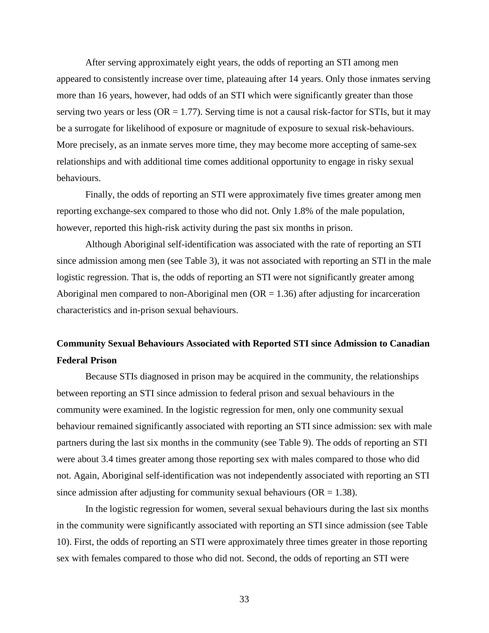After serving approximately eight years, the odds of reporting an STI among men appeared to consistently increase over time, plateauing after 14 years. Only those inmates serving more than 16 years, however, had odds of an STI which were significantly greater than those serving two years or less ( $OR = 1.77$ ). Serving time is not a causal risk-factor for STIs, but it may be a surrogate for likelihood of exposure or magnitude of exposure to sexual risk-behaviours. More precisely, as an inmate serves more time, they may become more accepting of same-sex relationships and with additional time comes additional opportunity to engage in risky sexual behaviours.

Finally, the odds of reporting an STI were approximately five times greater among men reporting exchange-sex compared to those who did not. Only 1.8% of the male population, however, reported this high-risk activity during the past six months in prison.

Although Aboriginal self-identification was associated with the rate of reporting an STI since admission among men (see Table 3), it was not associated with reporting an STI in the male logistic regression. That is, the odds of reporting an STI were not significantly greater among Aboriginal men compared to non-Aboriginal men  $(OR = 1.36)$  after adjusting for incarceration characteristics and in-prison sexual behaviours.

# <span id="page-51-0"></span>**Community Sexual Behaviours Associated with Reported STI since Admission to Canadian Federal Prison**

Because STIs diagnosed in prison may be acquired in the community, the relationships between reporting an STI since admission to federal prison and sexual behaviours in the community were examined. In the logistic regression for men, only one community sexual behaviour remained significantly associated with reporting an STI since admission: sex with male partners during the last six months in the community (see Table 9). The odds of reporting an STI were about 3.4 times greater among those reporting sex with males compared to those who did not. Again, Aboriginal self-identification was not independently associated with reporting an STI since admission after adjusting for community sexual behaviours ( $OR = 1.38$ ).

In the logistic regression for women, several sexual behaviours during the last six months in the community were significantly associated with reporting an STI since admission (see Table 10). First, the odds of reporting an STI were approximately three times greater in those reporting sex with females compared to those who did not. Second, the odds of reporting an STI were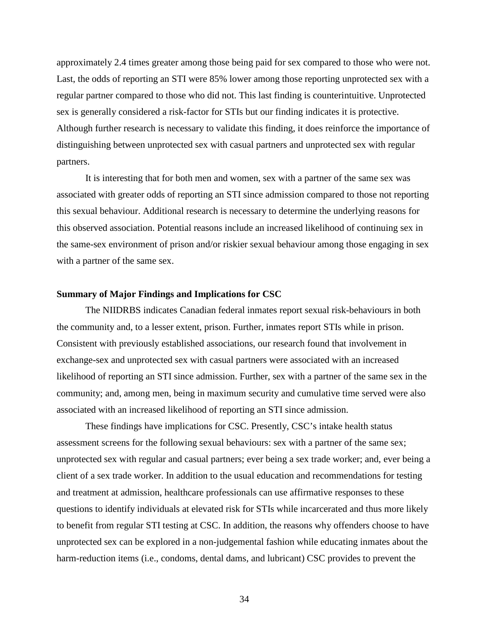approximately 2.4 times greater among those being paid for sex compared to those who were not. Last, the odds of reporting an STI were 85% lower among those reporting unprotected sex with a regular partner compared to those who did not. This last finding is counterintuitive. Unprotected sex is generally considered a risk-factor for STIs but our finding indicates it is protective. Although further research is necessary to validate this finding, it does reinforce the importance of distinguishing between unprotected sex with casual partners and unprotected sex with regular partners.

It is interesting that for both men and women, sex with a partner of the same sex was associated with greater odds of reporting an STI since admission compared to those not reporting this sexual behaviour. Additional research is necessary to determine the underlying reasons for this observed association. Potential reasons include an increased likelihood of continuing sex in the same-sex environment of prison and/or riskier sexual behaviour among those engaging in sex with a partner of the same sex.

#### <span id="page-52-0"></span>**Summary of Major Findings and Implications for CSC**

The NIIDRBS indicates Canadian federal inmates report sexual risk-behaviours in both the community and, to a lesser extent, prison. Further, inmates report STIs while in prison. Consistent with previously established associations, our research found that involvement in exchange-sex and unprotected sex with casual partners were associated with an increased likelihood of reporting an STI since admission. Further, sex with a partner of the same sex in the community; and, among men, being in maximum security and cumulative time served were also associated with an increased likelihood of reporting an STI since admission.

These findings have implications for CSC. Presently, CSC's intake health status assessment screens for the following sexual behaviours: sex with a partner of the same sex; unprotected sex with regular and casual partners; ever being a sex trade worker; and, ever being a client of a sex trade worker. In addition to the usual education and recommendations for testing and treatment at admission, healthcare professionals can use affirmative responses to these questions to identify individuals at elevated risk for STIs while incarcerated and thus more likely to benefit from regular STI testing at CSC. In addition, the reasons why offenders choose to have unprotected sex can be explored in a non-judgemental fashion while educating inmates about the harm-reduction items (i.e., condoms, dental dams, and lubricant) CSC provides to prevent the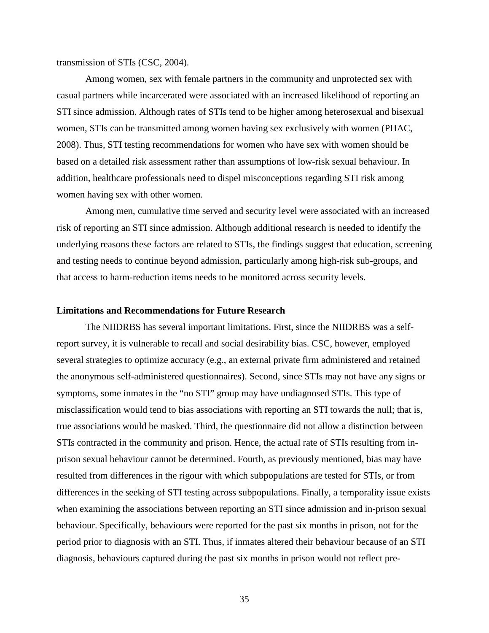transmission of STIs (CSC, 2004).

Among women, sex with female partners in the community and unprotected sex with casual partners while incarcerated were associated with an increased likelihood of reporting an STI since admission. Although rates of STIs tend to be higher among heterosexual and bisexual women, STIs can be transmitted among women having sex exclusively with women (PHAC, 2008). Thus, STI testing recommendations for women who have sex with women should be based on a detailed risk assessment rather than assumptions of low-risk sexual behaviour. In addition, healthcare professionals need to dispel misconceptions regarding STI risk among women having sex with other women.

Among men, cumulative time served and security level were associated with an increased risk of reporting an STI since admission. Although additional research is needed to identify the underlying reasons these factors are related to STIs, the findings suggest that education, screening and testing needs to continue beyond admission, particularly among high-risk sub-groups, and that access to harm-reduction items needs to be monitored across security levels.

#### <span id="page-53-0"></span>**Limitations and Recommendations for Future Research**

The NIIDRBS has several important limitations. First, since the NIIDRBS was a selfreport survey, it is vulnerable to recall and social desirability bias. CSC, however, employed several strategies to optimize accuracy (e.g., an external private firm administered and retained the anonymous self-administered questionnaires). Second, since STIs may not have any signs or symptoms, some inmates in the "no STI" group may have undiagnosed STIs. This type of misclassification would tend to bias associations with reporting an STI towards the null; that is, true associations would be masked. Third, the questionnaire did not allow a distinction between STIs contracted in the community and prison. Hence, the actual rate of STIs resulting from inprison sexual behaviour cannot be determined. Fourth, as previously mentioned, bias may have resulted from differences in the rigour with which subpopulations are tested for STIs, or from differences in the seeking of STI testing across subpopulations. Finally, a temporality issue exists when examining the associations between reporting an STI since admission and in-prison sexual behaviour. Specifically, behaviours were reported for the past six months in prison, not for the period prior to diagnosis with an STI. Thus, if inmates altered their behaviour because of an STI diagnosis, behaviours captured during the past six months in prison would not reflect pre-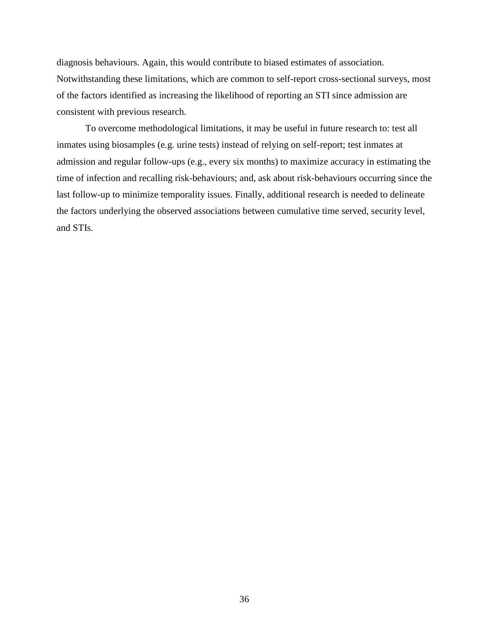diagnosis behaviours. Again, this would contribute to biased estimates of association. Notwithstanding these limitations, which are common to self-report cross-sectional surveys, most of the factors identified as increasing the likelihood of reporting an STI since admission are consistent with previous research.

To overcome methodological limitations, it may be useful in future research to: test all inmates using biosamples (e.g. urine tests) instead of relying on self-report; test inmates at admission and regular follow-ups (e.g., every six months) to maximize accuracy in estimating the time of infection and recalling risk-behaviours; and, ask about risk-behaviours occurring since the last follow-up to minimize temporality issues. Finally, additional research is needed to delineate the factors underlying the observed associations between cumulative time served, security level, and STIs.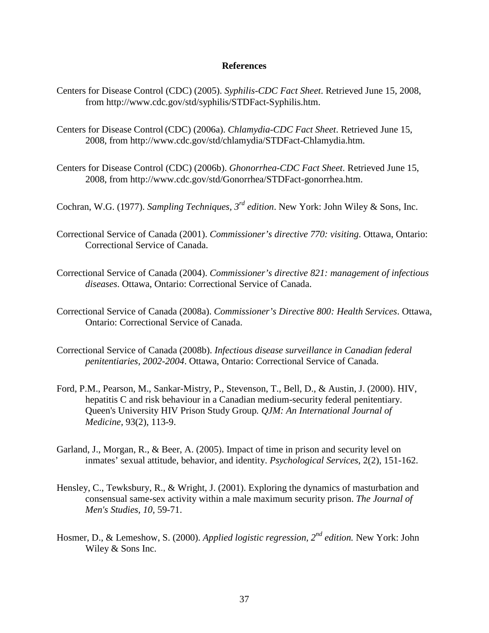#### **References**

- <span id="page-55-0"></span>Centers for Disease Control (CDC) (2005). *Syphilis-CDC Fact Sheet*. Retrieved June 15, 2008, from http://www.cdc.gov/std/syphilis/STDFact-Syphilis.htm.
- Centers for Disease Control (CDC) (2006a). *Chlamydia-CDC Fact Sheet*. Retrieved June 15, 2008, from http://www.cdc.gov/std/chlamydia/STDFact-Chlamydia.htm.
- Centers for Disease Control (CDC) (2006b). *Ghonorrhea-CDC Fact Sheet*. Retrieved June 15, 2008, from http://www.cdc.gov/std/Gonorrhea/STDFact-gonorrhea.htm.
- Cochran, W.G. (1977). *Sampling Techniques, 3rd edition*. New York: John Wiley & Sons, Inc.
- Correctional Service of Canada (2001). *Commissioner's directive 770: visiting*. Ottawa, Ontario: Correctional Service of Canada.
- Correctional Service of Canada (2004). *Commissioner's directive 821: management of infectious diseases*. Ottawa, Ontario: Correctional Service of Canada.
- Correctional Service of Canada (2008a). *Commissioner's Directive 800: Health Services*. Ottawa, Ontario: Correctional Service of Canada.
- Correctional Service of Canada (2008b). *Infectious disease surveillance in Canadian federal penitentiaries, 2002-2004*. Ottawa, Ontario: Correctional Service of Canada.
- Ford, P.M., Pearson, M., Sankar-Mistry, P., Stevenson, T., Bell, D., & Austin, J. (2000). HIV, hepatitis C and risk behaviour in a Canadian medium-security federal penitentiary. Queen's University HIV Prison Study Group*. QJM: An International Journal of Medicine,* 93(2), 113-9.
- Garland, J., Morgan, R., & Beer, A. (2005). Impact of time in prison and security level on inmates' sexual attitude, behavior, and identity. *Psychological Services*, 2(2), 151-162.
- Hensley, C., Tewksbury, R., & Wright, J. (2001). Exploring the dynamics of masturbation and consensual same-sex activity within a male maximum security prison. *The Journal of Men's Studies, 10,* 59-71.
- Hosmer, D., & Lemeshow, S. (2000). *Applied logistic regression, 2nd edition.* New York: John Wiley & Sons Inc.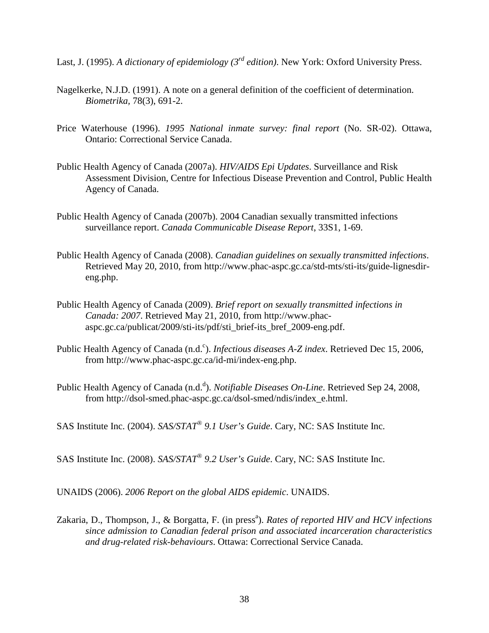Last, J. (1995). *A dictionary of epidemiology (3rd edition)*. New York: Oxford University Press.

- Nagelkerke, N.J.D. (1991). A note on a general definition of the coefficient of determination. *Biometrika,* 78(3), 691-2.
- Price Waterhouse (1996). *1995 National inmate survey: final report* (No. SR-02). Ottawa, Ontario: Correctional Service Canada.
- Public Health Agency of Canada (2007a). *HIV/AIDS Epi Updates*. Surveillance and Risk Assessment Division, Centre for Infectious Disease Prevention and Control, Public Health Agency of Canada.
- Public Health Agency of Canada (2007b). 2004 Canadian sexually transmitted infections surveillance report. *Canada Communicable Disease Report*, 33S1, 1-69.
- Public Health Agency of Canada (2008). *Canadian guidelines on sexually transmitted infections*. Retrieved May 20, 2010, from http://www.phac-aspc.gc.ca/std-mts/sti-its/guide-lignesdireng.php.
- Public Health Agency of Canada (2009). *Brief report on sexually transmitted infections in Canada: 2007*. Retrieved May 21, 2010, from http://www.phacaspc.gc.ca/publicat/2009/sti-its/pdf/sti\_brief-its\_bref\_2009-eng.pdf.
- Public Health Agency of Canada (n.d.<sup>c</sup>). *Infectious diseases A-Z index*. Retrieved Dec 15, 2006, from http://www.phac-aspc.gc.ca/id-mi/index-eng.php.
- Public Health Agency of Canada (n.d.<sup>d</sup>). *Notifiable Diseases On-Line*. Retrieved Sep 24, 2008, from http://dsol-smed.phac-aspc.gc.ca/dsol-smed/ndis/index\_e.html.

SAS Institute Inc. (2004). *SAS/STAT® 9.1 User's Guide*. Cary, NC: SAS Institute Inc.

SAS Institute Inc. (2008). *SAS/STAT® 9.2 User's Guide*. Cary, NC: SAS Institute Inc.

UNAIDS (2006). *2006 Report on the global AIDS epidemic*. UNAIDS.

Zakaria, D., Thompson, J., & Borgatta, F. (in press<sup>a</sup>). *Rates of reported HIV and HCV infections since admission to Canadian federal prison and associated incarceration characteristics and drug-related risk-behaviours*. Ottawa: Correctional Service Canada.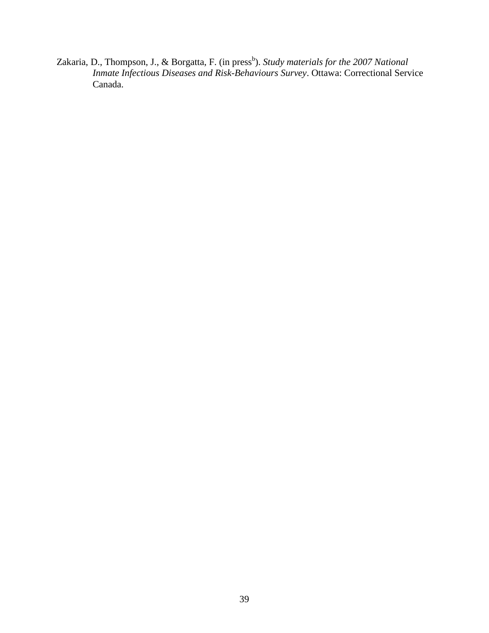Zakaria, D., Thompson, J., & Borgatta, F. (in press<sup>b</sup>). *Study materials for the 2007 National Inmate Infectious Diseases and Risk-Behaviours Survey*. Ottawa: Correctional Service Canada.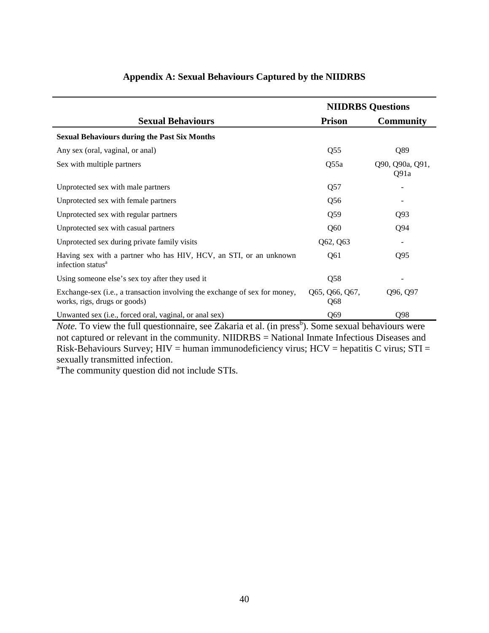<span id="page-58-0"></span>

|                                                                                                            | <b>NIIDRBS</b> Questions |                         |  |  |  |
|------------------------------------------------------------------------------------------------------------|--------------------------|-------------------------|--|--|--|
| <b>Sexual Behaviours</b>                                                                                   | <b>Prison</b>            | <b>Community</b>        |  |  |  |
| <b>Sexual Behaviours during the Past Six Months</b>                                                        |                          |                         |  |  |  |
| Any sex (oral, vaginal, or anal)                                                                           | Q <sub>55</sub>          | Q89                     |  |  |  |
| Sex with multiple partners                                                                                 | Q55a                     | Q90, Q90a, Q91,<br>Q91a |  |  |  |
| Unprotected sex with male partners                                                                         | Q57                      |                         |  |  |  |
| Unprotected sex with female partners                                                                       | Q56                      |                         |  |  |  |
| Unprotected sex with regular partners                                                                      | Q59                      | Q <sub>93</sub>         |  |  |  |
| Unprotected sex with casual partners                                                                       | Q60                      | Q94                     |  |  |  |
| Unprotected sex during private family visits                                                               | Q62, Q63                 | $\overline{a}$          |  |  |  |
| Having sex with a partner who has HIV, HCV, an STI, or an unknown<br>infection status <sup>a</sup>         | Q61                      | Q <sub>95</sub>         |  |  |  |
| Using someone else's sex toy after they used it                                                            | Q58                      |                         |  |  |  |
| Exchange-sex (i.e., a transaction involving the exchange of sex for money,<br>works, rigs, drugs or goods) | Q65, Q66, Q67,<br>Q68    | Q96, Q97                |  |  |  |
| Unwanted sex (i.e., forced oral, vaginal, or anal sex)                                                     | Q69                      | Q98                     |  |  |  |

## **Appendix A: Sexual Behaviours Captured by the NIIDRBS**

*Note*. To view the full questionnaire, see Zakaria et al. (in press<sup>b</sup>). Some sexual behaviours were not captured or relevant in the community. NIIDRBS = National Inmate Infectious Diseases and Risk-Behaviours Survey;  $HIV =$  human immunodeficiency virus;  $HCV =$  hepatitis C virus;  $STI =$ sexually transmitted infection.

<sup>a</sup>The community question did not include STIs.